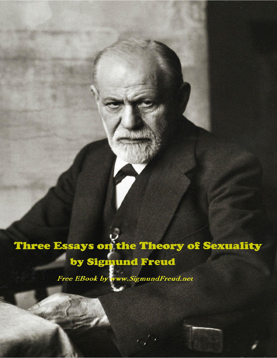# Three Essays on the Theory of Sexuality by Sigmund Freud

 $\epsilon_{\omega}$ 

Free EBook by www.SigmundFreud.net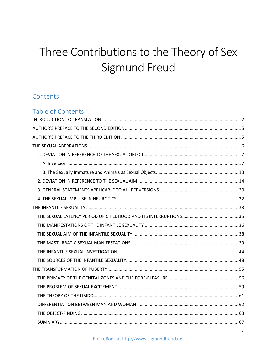## Three Contributions to the Theory of Sex Sigmund Freud

## Contents

| Table of Contents |  |
|-------------------|--|
|                   |  |
|                   |  |
|                   |  |
|                   |  |
|                   |  |
|                   |  |
|                   |  |
|                   |  |
|                   |  |
|                   |  |
|                   |  |
|                   |  |
|                   |  |
|                   |  |
|                   |  |
|                   |  |
|                   |  |
|                   |  |
|                   |  |
|                   |  |
|                   |  |
|                   |  |
|                   |  |
|                   |  |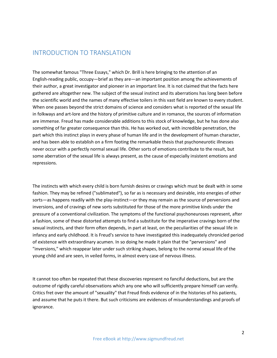### <span id="page-2-0"></span>INTRODUCTION TO TRANSLATION

The somewhat famous "Three Essays," which Dr. Brill is here bringing to the attention of an English-reading public, occupy—brief as they are—an important position among the achievements of their author, a great investigator and pioneer in an important line. It is not claimed that the facts here gathered are altogether new. The subject of the sexual instinct and its aberrations has long been before the scientific world and the names of many effective toilers in this vast field are known to every student. When one passes beyond the strict domains of science and considers what is reported of the sexual life in folkways and art-lore and the history of primitive culture and in romance, the sources of information are immense. Freud has made considerable additions to this stock of knowledge, but he has done also something of far greater consequence than this. He has worked out, with incredible penetration, the part which this instinct plays in every phase of human life and in the development of human character, and has been able to establish on a firm footing the remarkable thesis that psychoneurotic illnesses never occur with a perfectly normal sexual life. Other sorts of emotions contribute to the result, but some aberration of the sexual life is always present, as the cause of especially insistent emotions and repressions.

The instincts with which every child is born furnish desires or cravings which must be dealt with in some fashion. They may be refined ("sublimated"), so far as is necessary and desirable, into energies of other sorts—as happens readily with the play-instinct—or they may remain as the source of perversions and inversions, and of cravings of new sorts substituted for those of the more primitive kinds under the pressure of a conventional civilization. The symptoms of the functional psychoneuroses represent, after a fashion, some of these distorted attempts to find a substitute for the imperative cravings born of the sexual instincts, and their form often depends, in part at least, on the peculiarities of the sexual life in infancy and early childhood. It is Freud's service to have investigated this inadequately chronicled period of existence with extraordinary acumen. In so doing he made it plain that the "perversions" and "inversions," which reappear later under such striking shapes, belong to the normal sexual life of the young child and are seen, in veiled forms, in almost every case of nervous illness.

It cannot too often be repeated that these discoveries represent no fanciful deductions, but are the outcome of rigidly careful observations which any one who will sufficiently prepare himself can verify. Critics fret over the amount of "sexuality" that Freud finds evidence of in the histories of his patients, and assume that he puts it there. But such criticisms are evidences of misunderstandings and proofs of ignorance.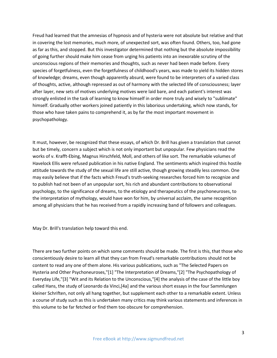Freud had learned that the amnesias of hypnosis and of hysteria were not absolute but relative and that in covering the lost memories, much more, of unexpected sort, was often found. Others, too, had gone as far as this, and stopped. But this investigator determined that nothing but the absolute impossibility of going further should make him cease from urging his patients into an inexorable scrutiny of the unconscious regions of their memories and thoughts, such as never had been made before. Every species of forgetfulness, even the forgetfulness of childhood's years, was made to yield its hidden stores of knowledge; dreams, even though apparently absurd, were found to be interpreters of a varied class of thoughts, active, although repressed as out of harmony with the selected life of consciousness; layer after layer, new sets of motives underlying motives were laid bare, and each patient's interest was strongly enlisted in the task of learning to know himself in order more truly and wisely to "sublimate" himself. Gradually other workers joined patiently in this laborious undertaking, which now stands, for those who have taken pains to comprehend it, as by far the most important movement in psychopathology.

It must, however, be recognized that these essays, of which Dr. Brill has given a translation that cannot but be timely, concern a subject which is not only important but unpopular. Few physicians read the works of v. Krafft-Ebing, Magnus Hirschfeld, Moll, and others of like sort. The remarkable volumes of Havelock Ellis were refused publication in his native England. The sentiments which inspired this hostile attitude towards the study of the sexual life are still active, though growing steadily less common. One may easily believe that if the facts which Freud's truth-seeking researches forced him to recognize and to publish had not been of an unpopular sort, his rich and abundant contributions to observational psychology, to the significance of dreams, to the etiology and therapeutics of the psychoneuroses, to the interpretation of mythology, would have won for him, by universal acclaim, the same recognition among all physicians that he has received from a rapidly increasing band of followers and colleagues.

May Dr. Brill's translation help toward this end.

There are two further points on which some comments should be made. The first is this, that those who conscientiously desire to learn all that they can from Freud's remarkable contributions should not be content to read any one of them alone. His various publications, such as "The Selected Papers on Hysteria and Other Psychoneuroses,"[1] "The Interpretation of Dreams,"[2] "The Psychopathology of Everyday Life,"[3] "Wit and its Relation to the Unconscious,"[4] the analysis of the case of the little boy called Hans, the study of Leonardo da Vinci,[4a] and the various short essays in the four Sammlungen kleiner Schriften, not only all hang together, but supplement each other to a remarkable extent. Unless a course of study such as this is undertaken many critics may think various statements and inferences in this volume to be far fetched or find them too obscure for comprehension.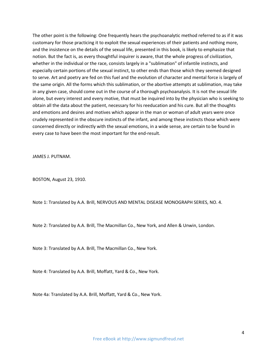The other point is the following: One frequently hears the psychoanalytic method referred to as if it was customary for those practicing it to exploit the sexual experiences of their patients and nothing more, and the insistence on the details of the sexual life, presented in this book, is likely to emphasize that notion. But the fact is, as every thoughtful inquirer is aware, that the whole progress of civilization, whether in the individual or the race, consists largely in a "sublimation" of infantile instincts, and especially certain portions of the sexual instinct, to other ends than those which they seemed designed to serve. Art and poetry are fed on this fuel and the evolution of character and mental force is largely of the same origin. All the forms which this sublimation, or the abortive attempts at sublimation, may take in any given case, should come out in the course of a thorough psychoanalysis. It is not the sexual life alone, but every interest and every motive, that must be inquired into by the physician who is seeking to obtain all the data about the patient, necessary for his reeducation and his cure. But all the thoughts and emotions and desires and motives which appear in the man or woman of adult years were once crudely represented in the obscure instincts of the infant, and among these instincts those which were concerned directly or indirectly with the sexual emotions, in a wide sense, are certain to be found in every case to have been the most important for the end-result.

JAMES J. PUTNAM.

BOSTON, August 23, 1910.

Note 1: Translated by A.A. Brill, NERVOUS AND MENTAL DISEASE MONOGRAPH SERIES, NO. 4.

Note 2: Translated by A.A. Brill, The Macmillan Co., New York, and Allen & Unwin, London.

Note 3: Translated by A.A. Brill, The Macmillan Co., New York.

Note 4: Translated by A.A. Brill, Moffatt, Yard & Co., New York.

Note 4a: Translated by A.A. Brill, Moffatt, Yard & Co., New York.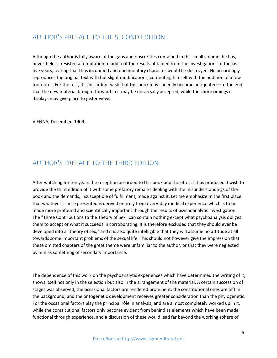## <span id="page-5-0"></span>AUTHOR'S PREFACE TO THE SECOND EDITION

Although the author is fully aware of the gaps and obscurities contained in this small volume, he has, nevertheless, resisted a temptation to add to it the results obtained from the investigations of the last five years, fearing that thus its unified and documentary character would be destroyed. He accordingly reproduces the original text with but slight modifications, contenting himself with the addition of a few footnotes. For the rest, it is his ardent wish that this book may speedily become antiquated—to the end that the new material brought forward in it may be universally accepted, while the shortcomings it displays may give place to juster views.

VIENNA, December, 1909.

## <span id="page-5-1"></span>AUTHOR'S PREFACE TO THE THIRD EDITION

After watching for ten years the reception accorded to this book and the effect it has produced, I wish to provide the third edition of it with some prefatory remarks dealing with the misunderstandings of the book and the demands, insusceptible of fulfillment, made against it. Let me emphasize in the first place that whatever is here presented is derived entirely from every-day medical experience which is to be made more profound and scientifically important through the results of psychoanalytic investigation. The "Three Contributions to the Theory of Sex" can contain nothing except what psychoanalysis obliges them to accept or what it succeeds in corroborating. It is therefore excluded that they should ever be developed into a "theory of sex," and it is also quite intelligible that they will assume no attitude at all towards some important problems of the sexual life. This should not however give the impression that these omitted chapters of the great theme were unfamiliar to the author, or that they were neglected by him as something of secondary importance.

The dependence of this work on the psychoanalytic experiences which have determined the writing of it, shows itself not only in the selection but also in the arrangement of the material. A certain succession of stages was observed, the occasional factors are rendered prominent, the constitutional ones are left in the background, and the ontogenetic development receives greater consideration than the phylogenetic. For the occasional factors play the principal rôle in analysis, and are almost completely worked up in it, while the constitutional factors only become evident from behind as elements which have been made functional through experience, and a discussion of these would lead far beyond the working sphere of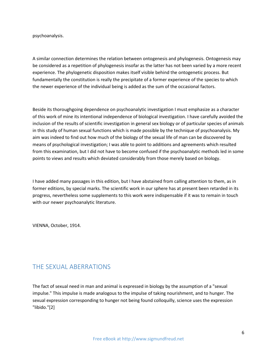psychoanalysis.

A similar connection determines the relation between ontogenesis and phylogenesis. Ontogenesis may be considered as a repetition of phylogenesis insofar as the latter has not been varied by a more recent experience. The phylogenetic disposition makes itself visible behind the ontogenetic process. But fundamentally the constitution is really the precipitate of a former experience of the species to which the newer experience of the individual being is added as the sum of the occasional factors.

Beside its thoroughgoing dependence on psychoanalytic investigation I must emphasize as a character of this work of mine its intentional independence of biological investigation. I have carefully avoided the inclusion of the results of scientific investigation in general sex biology or of particular species of animals in this study of human sexual functions which is made possible by the technique of psychoanalysis. My aim was indeed to find out how much of the biology of the sexual life of man can be discovered by means of psychological investigation; I was able to point to additions and agreements which resulted from this examination, but I did not have to become confused if the psychoanalytic methods led in some points to views and results which deviated considerably from those merely based on biology.

I have added many passages in this edition, but I have abstained from calling attention to them, as in former editions, by special marks. The scientific work in our sphere has at present been retarded in its progress, nevertheless some supplements to this work were indispensable if it was to remain in touch with our newer psychoanalytic literature.

VIENNA, October, 1914.

## <span id="page-6-0"></span>THE SEXUAL ABERRATIONS

The fact of sexual need in man and animal is expressed in biology by the assumption of a "sexual impulse." This impulse is made analogous to the impulse of taking nourishment, and to hunger. The sexual expression corresponding to hunger not being found colloquilly, science uses the expression "libido."[2]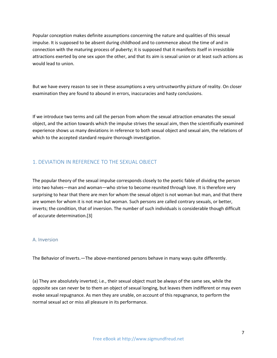Popular conception makes definite assumptions concerning the nature and qualities of this sexual impulse. It is supposed to be absent during childhood and to commence about the time of and in connection with the maturing process of puberty; it is supposed that it manifests itself in irresistible attractions exerted by one sex upon the other, and that its aim is sexual union or at least such actions as would lead to union.

But we have every reason to see in these assumptions a very untrustworthy picture of reality. On closer examination they are found to abound in errors, inaccuracies and hasty conclusions.

If we introduce two terms and call the person from whom the sexual attraction emanates the sexual object, and the action towards which the impulse strives the sexual aim, then the scientifically examined experience shows us many deviations in reference to both sexual object and sexual aim, the relations of which to the accepted standard require thorough investigation.

#### <span id="page-7-0"></span>1. DEVIATION IN REFERENCE TO THE SEXUAL OBJECT

The popular theory of the sexual impulse corresponds closely to the poetic fable of dividing the person into two halves—man and woman—who strive to become reunited through love. It is therefore very surprising to hear that there are men for whom the sexual object is not woman but man, and that there are women for whom it is not man but woman. Such persons are called contrary sexuals, or better, inverts; the condition, that of inversion. The number of such individuals is considerable though difficult of accurate determination.[3]

#### <span id="page-7-1"></span>A. Inversion

The Behavior of Inverts.—The above-mentioned persons behave in many ways quite differently.

(a) They are absolutely inverted; i.e., their sexual object must be always of the same sex, while the opposite sex can never be to them an object of sexual longing, but leaves them indifferent or may even evoke sexual repugnance. As men they are unable, on account of this repugnance, to perform the normal sexual act or miss all pleasure in its performance.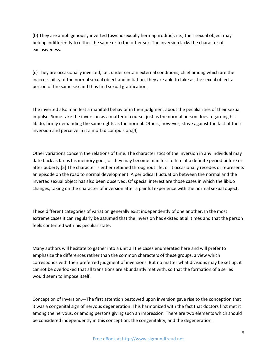(b) They are amphigenously inverted (psychosexually hermaphroditic); i.e., their sexual object may belong indifferently to either the same or to the other sex. The inversion lacks the character of exclusiveness.

(c) They are occasionally inverted; i.e., under certain external conditions, chief among which are the inaccessibility of the normal sexual object and initiation, they are able to take as the sexual object a person of the same sex and thus find sexual gratification.

The inverted also manifest a manifold behavior in their judgment about the peculiarities of their sexual impulse. Some take the inversion as a matter of course, just as the normal person does regarding his libido, firmly demanding the same rights as the normal. Others, however, strive against the fact of their inversion and perceive in it a morbid compulsion.[4]

Other variations concern the relations of time. The characteristics of the inversion in any individual may date back as far as his memory goes, or they may become manifest to him at a definite period before or after puberty.[5] The character is either retained throughout life, or it occasionally recedes or represents an episode on the road to normal development. A periodical fluctuation between the normal and the inverted sexual object has also been observed. Of special interest are those cases in which the libido changes, taking on the character of inversion after a painful experience with the normal sexual object.

These different categories of variation generally exist independently of one another. In the most extreme cases it can regularly be assumed that the inversion has existed at all times and that the person feels contented with his peculiar state.

Many authors will hesitate to gather into a unit all the cases enumerated here and will prefer to emphasize the differences rather than the common characters of these groups, a view which corresponds with their preferred judgment of inversions. But no matter what divisions may be set up, it cannot be overlooked that all transitions are abundantly met with, so that the formation of a series would seem to impose itself.

Conception of Inversion.—The first attention bestowed upon inversion gave rise to the conception that it was a congenital sign of nervous degeneration. This harmonized with the fact that doctors first met it among the nervous, or among persons giving such an impression. There are two elements which should be considered independently in this conception: the congenitality, and the degeneration.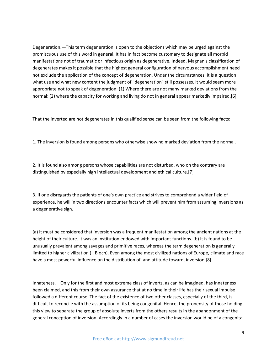Degeneration.—This term degeneration is open to the objections which may be urged against the promiscuous use of this word in general. It has in fact become customary to designate all morbid manifestations not of traumatic or infectious origin as degenerative. Indeed, Magnan's classification of degenerates makes it possible that the highest general configuration of nervous accomplishment need not exclude the application of the concept of degeneration. Under the circumstances, it is a question what use and what new content the judgment of "degeneration" still possesses. It would seem more appropriate not to speak of degeneration: (1) Where there are not many marked deviations from the normal; (2) where the capacity for working and living do not in general appear markedly impaired.[6]

That the inverted are not degenerates in this qualified sense can be seen from the following facts:

1. The inversion is found among persons who otherwise show no marked deviation from the normal.

2. It is found also among persons whose capabilities are not disturbed, who on the contrary are distinguished by especially high intellectual development and ethical culture.[7]

3. If one disregards the patients of one's own practice and strives to comprehend a wider field of experience, he will in two directions encounter facts which will prevent him from assuming inversions as a degenerative sign.

(a) It must be considered that inversion was a frequent manifestation among the ancient nations at the height of their culture. It was an institution endowed with important functions. (b) It is found to be unusually prevalent among savages and primitive races, whereas the term degeneration is generally limited to higher civilization (I. Bloch). Even among the most civilized nations of Europe, climate and race have a most powerful influence on the distribution of, and attitude toward, inversion.[8]

Innateness.—Only for the first and most extreme class of inverts, as can be imagined, has innateness been claimed, and this from their own assurance that at no time in their life has their sexual impulse followed a different course. The fact of the existence of two other classes, especially of the third, is difficult to reconcile with the assumption of its being congenital. Hence, the propensity of those holding this view to separate the group of absolute inverts from the others results in the abandonment of the general conception of inversion. Accordingly in a number of cases the inversion would be of a congenital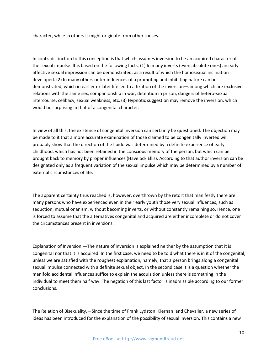character, while in others it might originate from other causes.

In contradistinction to this conception is that which assumes inversion to be an acquired character of the sexual impulse. It is based on the following facts. (1) In many inverts (even absolute ones) an early affective sexual impression can be demonstrated, as a result of which the homosexual inclination developed. (2) In many others outer influences of a promoting and inhibiting nature can be demonstrated, which in earlier or later life led to a fixation of the inversion—among which are exclusive relations with the same sex, companionship in war, detention in prison, dangers of hetero-sexual intercourse, celibacy, sexual weakness, etc. (3) Hypnotic suggestion may remove the inversion, which would be surprising in that of a congenital character.

In view of all this, the existence of congenital inversion can certainly be questioned. The objection may be made to it that a more accurate examination of those claimed to be congenitally inverted will probably show that the direction of the libido was determined by a definite experience of early childhood, which has not been retained in the conscious memory of the person, but which can be brought back to memory by proper influences (Havelock Ellis). According to that author inversion can be designated only as a frequent variation of the sexual impulse which may be determined by a number of external circumstances of life.

The apparent certainty thus reached is, however, overthrown by the retort that manifestly there are many persons who have experienced even in their early youth those very sexual influences, such as seduction, mutual onanism, without becoming inverts, or without constantly remaining so. Hence, one is forced to assume that the alternatives congenital and acquired are either incomplete or do not cover the circumstances present in inversions.

Explanation of Inversion.—The nature of inversion is explained neither by the assumption that it is congenital nor that it is acquired. In the first case, we need to be told what there is in it of the congenital, unless we are satisfied with the roughest explanation, namely, that a person brings along a congenital sexual impulse connected with a definite sexual object. In the second case it is a question whether the manifold accidental influences suffice to explain the acquisition unless there is something in the individual to meet them half way. The negation of this last factor is inadmissible according to our former conclusions.

The Relation of Bisexuality.—Since the time of Frank Lydston, Kiernan, and Chevalier, a new series of ideas has been introduced for the explanation of the possibility of sexual inversion. This contains a new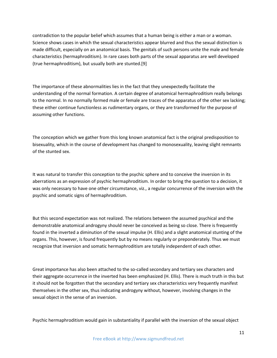contradiction to the popular belief which assumes that a human being is either a man or a woman. Science shows cases in which the sexual characteristics appear blurred and thus the sexual distinction is made difficult, especially on an anatomical basis. The genitals of such persons unite the male and female characteristics (hermaphroditism). In rare cases both parts of the sexual apparatus are well developed (true hermaphroditism), but usually both are stunted.[9]

The importance of these abnormalities lies in the fact that they unexpectedly facilitate the understanding of the normal formation. A certain degree of anatomical hermaphroditism really belongs to the normal. In no normally formed male or female are traces of the apparatus of the other sex lacking; these either continue functionless as rudimentary organs, or they are transformed for the purpose of assuming other functions.

The conception which we gather from this long known anatomical fact is the original predisposition to bisexuality, which in the course of development has changed to monosexuality, leaving slight remnants of the stunted sex.

It was natural to transfer this conception to the psychic sphere and to conceive the inversion in its aberrations as an expression of psychic hermaphroditism. In order to bring the question to a decision, it was only necessary to have one other circumstance, viz., a regular concurrence of the inversion with the psychic and somatic signs of hermaphroditism.

But this second expectation was not realized. The relations between the assumed psychical and the demonstrable anatomical androgyny should never be conceived as being so close. There is frequently found in the inverted a diminution of the sexual impulse (H. Ellis) and a slight anatomical stunting of the organs. This, however, is found frequently but by no means regularly or preponderately. Thus we must recognize that inversion and somatic hermaphroditism are totally independent of each other.

Great importance has also been attached to the so-called secondary and tertiary sex characters and their aggregate occurrence in the inverted has been emphasized (H. Ellis). There is much truth in this but it should not be forgotten that the secondary and tertiary sex characteristics very frequently manifest themselves in the other sex, thus indicating androgyny without, however, involving changes in the sexual object in the sense of an inversion.

Psychic hermaphroditism would gain in substantiality if parallel with the inversion of the sexual object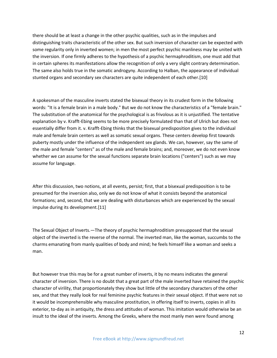there should be at least a change in the other psychic qualities, such as in the impulses and distinguishing traits characteristic of the other sex. But such inversion of character can be expected with some regularity only in inverted women; in men the most perfect psychic manliness may be united with the inversion. If one firmly adheres to the hypothesis of a psychic hermaphroditism, one must add that in certain spheres its manifestations allow the recognition of only a very slight contrary determination. The same also holds true in the somatic androgyny. According to Halban, the appearance of individual stunted organs and secondary sex characters are quite independent of each other.[10]

A spokesman of the masculine inverts stated the bisexual theory in its crudest form in the following words: "It is a female brain in a male body." But we do not know the characteristics of a "female brain." The substitution of the anatomical for the psychological is as frivolous as it is unjustified. The tentative explanation by v. Krafft-Ebing seems to be more precisely formulated than that of Ulrich but does not essentially differ from it. v. Krafft-Ebing thinks that the bisexual predisposition gives to the individual male and female brain centers as well as somatic sexual organs. These centers develop first towards puberty mostly under the influence of the independent sex glands. We can, however, say the same of the male and female "centers" as of the male and female brains; and, moreover, we do not even know whether we can assume for the sexual functions separate brain locations ("centers") such as we may assume for language.

After this discussion, two notions, at all events, persist; first, that a bisexual predisposition is to be presumed for the inversion also, only we do not know of what it consists beyond the anatomical formations; and, second, that we are dealing with disturbances which are experienced by the sexual impulse during its development.[11]

The Sexual Object of Inverts.—The theory of psychic hermaphroditism presupposed that the sexual object of the inverted is the reverse of the normal. The inverted man, like the woman, succumbs to the charms emanating from manly qualities of body and mind; he feels himself like a woman and seeks a man.

But however true this may be for a great number of inverts, it by no means indicates the general character of inversion. There is no doubt that a great part of the male inverted have retained the psychic character of virility, that proportionately they show but little of the secondary characters of the other sex, and that they really look for real feminine psychic features in their sexual object. If that were not so it would be incomprehensible why masculine prostitution, in offering itself to inverts, copies in all its exterior, to-day as in antiquity, the dress and attitudes of woman. This imitation would otherwise be an insult to the ideal of the inverts. Among the Greeks, where the most manly men were found among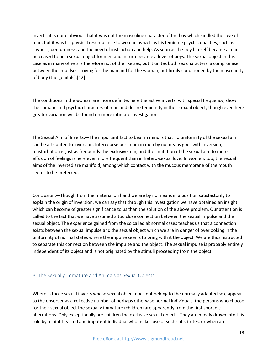inverts, it is quite obvious that it was not the masculine character of the boy which kindled the love of man, but it was his physical resemblance to woman as well as his feminine psychic qualities, such as shyness, demureness, and the need of instruction and help. As soon as the boy himself became a man he ceased to be a sexual object for men and in turn became a lover of boys. The sexual object in this case as in many others is therefore not of the like sex, but it unites both sex characters, a compromise between the impulses striving for the man and for the woman, but firmly conditioned by the masculinity of body (the genitals).[12]

The conditions in the woman are more definite; here the active inverts, with special frequency, show the somatic and psychic characters of man and desire femininity in their sexual object; though even here greater variation will be found on more intimate investigation.

The Sexual Aim of Inverts.—The important fact to bear in mind is that no uniformity of the sexual aim can be attributed to inversion. Intercourse per anum in men by no means goes with inversion; masturbation is just as frequently the exclusive aim; and the limitation of the sexual aim to mere effusion of feelings is here even more frequent than in hetero-sexual love. In women, too, the sexual aims of the inverted are manifold, among which contact with the mucous membrane of the mouth seems to be preferred.

Conclusion.—Though from the material on hand we are by no means in a position satisfactorily to explain the origin of inversion, we can say that through this investigation we have obtained an insight which can become of greater significance to us than the solution of the above problem. Our attention is called to the fact that we have assumed a too close connection between the sexual impulse and the sexual object. The experience gained from the so called abnormal cases teaches us that a connection exists between the sexual impulse and the sexual object which we are in danger of overlooking in the uniformity of normal states where the impulse seems to bring with it the object. We are thus instructed to separate this connection between the impulse and the object. The sexual impulse is probably entirely independent of its object and is not originated by the stimuli proceeding from the object.

#### <span id="page-13-0"></span>B. The Sexually Immature and Animals as Sexual Objects

Whereas those sexual inverts whose sexual object does not belong to the normally adapted sex, appear to the observer as a collective number of perhaps otherwise normal individuals, the persons who choose for their sexual object the sexually immature (children) are apparently from the first sporadic aberrations. Only exceptionally are children the exclusive sexual objects. They are mostly drawn into this rôle by a faint-hearted and impotent individual who makes use of such substitutes, or when an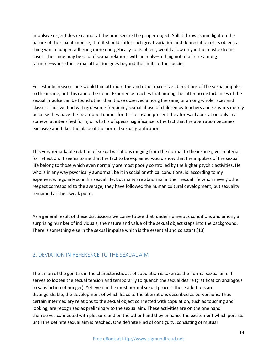impulsive urgent desire cannot at the time secure the proper object. Still it throws some light on the nature of the sexual impulse, that it should suffer such great variation and depreciation of its object, a thing which hunger, adhering more energetically to its object, would allow only in the most extreme cases. The same may be said of sexual relations with animals—a thing not at all rare among farmers—where the sexual attraction goes beyond the limits of the species.

For esthetic reasons one would fain attribute this and other excessive aberrations of the sexual impulse to the insane, but this cannot be done. Experience teaches that among the latter no disturbances of the sexual impulse can be found other than those observed among the sane, or among whole races and classes. Thus we find with gruesome frequency sexual abuse of children by teachers and servants merely because they have the best opportunities for it. The insane present the aforesaid aberration only in a somewhat intensified form; or what is of special significance is the fact that the aberration becomes exclusive and takes the place of the normal sexual gratification.

This very remarkable relation of sexual variations ranging from the normal to the insane gives material for reflection. It seems to me that the fact to be explained would show that the impulses of the sexual life belong to those which even normally are most poorly controlled by the higher psychic activities. He who is in any way psychically abnormal, be it in social or ethical conditions, is, according to my experience, regularly so in his sexual life. But many are abnormal in their sexual life who in every other respect correspond to the average; they have followed the human cultural development, but sexuality remained as their weak point.

As a general result of these discussions we come to see that, under numerous conditions and among a surprising number of individuals, the nature and value of the sexual object steps into the background. There is something else in the sexual impulse which is the essential and constant.[13]

#### <span id="page-14-0"></span>2. DEVIATION IN REFERENCE TO THE SEXUAL AIM

The union of the genitals in the characteristic act of copulation is taken as the normal sexual aim. It serves to loosen the sexual tension and temporarily to quench the sexual desire (gratification analogous to satisfaction of hunger). Yet even in the most normal sexual process those additions are distinguishable, the development of which leads to the aberrations described as perversions. Thus certain intermediary relations to the sexual object connected with copulation, such as touching and looking, are recognized as preliminary to the sexual aim. These activities are on the one hand themselves connected with pleasure and on the other hand they enhance the excitement which persists until the definite sexual aim is reached. One definite kind of contiguity, consisting of mutual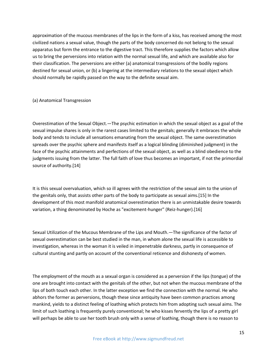approximation of the mucous membranes of the lips in the form of a kiss, has received among the most civilized nations a sexual value, though the parts of the body concerned do not belong to the sexual apparatus but form the entrance to the digestive tract. This therefore supplies the factors which allow us to bring the perversions into relation with the normal sexual life, and which are available also for their classification. The perversions are either (a) anatomical transgressions of the bodily regions destined for sexual union, or (b) a lingering at the intermediary relations to the sexual object which should normally be rapidly passed on the way to the definite sexual aim.

(a) Anatomical Transgression

Overestimation of the Sexual Object.—The psychic estimation in which the sexual object as a goal of the sexual impulse shares is only in the rarest cases limited to the genitals; generally it embraces the whole body and tends to include all sensations emanating from the sexual object. The same overestimation spreads over the psychic sphere and manifests itself as a logical blinding (diminished judgment) in the face of the psychic attainments and perfections of the sexual object, as well as a blind obedience to the judgments issuing from the latter. The full faith of love thus becomes an important, if not the primordial source of authority.[14]

It is this sexual overvaluation, which so ill agrees with the restriction of the sexual aim to the union of the genitals only, that assists other parts of the body to participate as sexual aims.[15] In the development of this most manifold anatomical overestimation there is an unmistakable desire towards variation, a thing denominated by Hoche as "excitement-hunger" (Reiz-hunger).[16]

Sexual Utilization of the Mucous Membrane of the Lips and Mouth.—The significance of the factor of sexual overestimation can be best studied in the man, in whom alone the sexual life is accessible to investigation, whereas in the woman it is veiled in impenetrable darkness, partly in consequence of cultural stunting and partly on account of the conventional reticence and dishonesty of women.

The employment of the mouth as a sexual organ is considered as a perversion if the lips (tongue) of the one are brought into contact with the genitals of the other, but not when the mucous membrane of the lips of both touch each other. In the latter exception we find the connection with the normal. He who abhors the former as perversions, though these since antiquity have been common practices among mankind, yields to a distinct feeling of loathing which protects him from adopting such sexual aims. The limit of such loathing is frequently purely conventional; he who kisses fervently the lips of a pretty girl will perhaps be able to use her tooth brush only with a sense of loathing, though there is no reason to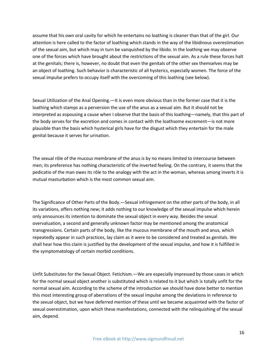assume that his own oral cavity for which he entertains no loathing is cleaner than that of the girl. Our attention is here called to the factor of loathing which stands in the way of the libidinous overestimation of the sexual aim, but which may in turn be vanquished by the libido. In the loathing we may observe one of the forces which have brought about the restrictions of the sexual aim. As a rule these forces halt at the genitals; there is, however, no doubt that even the genitals of the other sex themselves may be an object of loathing. Such behavior is characteristic of all hysterics, especially women. The force of the sexual impulse prefers to occupy itself with the overcoming of this loathing (see below).

Sexual Utilization of the Anal Opening.—It is even more obvious than in the former case that it is the loathing which stamps as a perversion the use of the anus as a sexual aim. But it should not be interpreted as espousing a cause when I observe that the basis of this loathing—namely, that this part of the body serves for the excretion and comes in contact with the loathsome excrement—is not more plausible than the basis which hysterical girls have for the disgust which they entertain for the male genital because it serves for urination.

The sexual rôle of the mucous membrane of the anus is by no means limited to intercourse between men; its preference has nothing characteristic of the inverted feeling. On the contrary, it seems that the pedicatio of the man owes its rôle to the analogy with the act in the woman, whereas among inverts it is mutual masturbation which is the most common sexual aim.

The Significance of Other Parts of the Body.—Sexual infringement on the other parts of the body, in all its variations, offers nothing new; it adds nothing to our knowledge of the sexual impulse which herein only announces its intention to dominate the sexual object in every way. Besides the sexual overvaluation, a second and generally unknown factor may be mentioned among the anatomical transgressions. Certain parts of the body, like the mucous membrane of the mouth and anus, which repeatedly appear in such practices, lay claim as it were to be considered and treated as genitals. We shall hear how this claim is justified by the development of the sexual impulse, and how it is fulfilled in the symptomatology of certain morbid conditions.

Unfit Substitutes for the Sexual Object. Fetichism.—We are especially impressed by those cases in which for the normal sexual object another is substituted which is related to it but which is totally unfit for the normal sexual aim. According to the scheme of the introduction we should have done better to mention this most interesting group of aberrations of the sexual impulse among the deviations in reference to the sexual object, but we have deferred mention of these until we became acquainted with the factor of sexual overestimation, upon which these manifestations, connected with the relinquishing of the sexual aim, depend.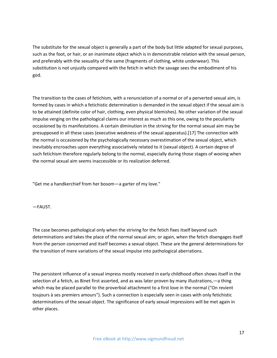The substitute for the sexual object is generally a part of the body but little adapted for sexual purposes, such as the foot, or hair, or an inanimate object which is in demonstrable relation with the sexual person, and preferably with the sexuality of the same (fragments of clothing, white underwear). This substitution is not unjustly compared with the fetich in which the savage sees the embodiment of his god.

The transition to the cases of fetichism, with a renunciation of a normal or of a perverted sexual aim, is formed by cases in which a fetichistic determination is demanded in the sexual object if the sexual aim is to be attained (definite color of hair, clothing, even physical blemishes). No other variation of the sexual impulse verging on the pathological claims our interest as much as this one, owing to the peculiarity occasioned by its manifestations. A certain diminution in the striving for the normal sexual aim may be presupposed in all these cases (executive weakness of the sexual apparatus).[17] The connection with the normal is occasioned by the psychologically necessary overestimation of the sexual object, which inevitably encroaches upon everything associatively related to it (sexual object). A certain degree of such fetichism therefore regularly belong to the normal, especially during those stages of wooing when the normal sexual aim seems inaccessible or its realization deferred.

"Get me a handkerchief from her bosom—a garter of my love."

—FAUST.

The case becomes pathological only when the striving for the fetich fixes itself beyond such determinations and takes the place of the normal sexual aim; or again, when the fetich disengages itself from the person concerned and itself becomes a sexual object. These are the general determinations for the transition of mere variations of the sexual impulse into pathological aberrations.

The persistent influence of a sexual impress mostly received in early childhood often shows itself in the selection of a fetich, as Binet first asserted, and as was later proven by many illustrations,—a thing which may be placed parallel to the proverbial attachment to a first love in the normal ("On revient toujours à ses premiers amours"). Such a connection is especially seen in cases with only fetichistic determinations of the sexual object. The significance of early sexual impressions will be met again in other places.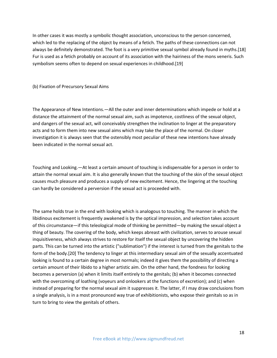In other cases it was mostly a symbolic thought association, unconscious to the person concerned, which led to the replacing of the object by means of a fetich. The paths of these connections can not always be definitely demonstrated. The foot is a very primitive sexual symbol already found in myths.[18] Fur is used as a fetich probably on account of its association with the hairiness of the mons veneris. Such symbolism seems often to depend on sexual experiences in childhood.[19]

(b) Fixation of Precursory Sexual Aims

The Appearance of New Intentions.—All the outer and inner determinations which impede or hold at a distance the attainment of the normal sexual aim, such as impotence, costliness of the sexual object, and dangers of the sexual act, will conceivably strengthen the inclination to linger at the preparatory acts and to form them into new sexual aims which may take the place of the normal. On closer investigation it is always seen that the ostensibly most peculiar of these new intentions have already been indicated in the normal sexual act.

Touching and Looking.—At least a certain amount of touching is indispensable for a person in order to attain the normal sexual aim. It is also generally known that the touching of the skin of the sexual object causes much pleasure and produces a supply of new excitement. Hence, the lingering at the touching can hardly be considered a perversion if the sexual act is proceeded with.

The same holds true in the end with looking which is analogous to touching. The manner in which the libidinous excitement is frequently awakened is by the optical impression, and selection takes account of this circumstance—if this teleological mode of thinking be permitted—by making the sexual object a thing of beauty. The covering of the body, which keeps abreast with civilization, serves to arouse sexual inquisitiveness, which always strives to restore for itself the sexual object by uncovering the hidden parts. This can be turned into the artistic ("sublimation") if the interest is turned from the genitals to the form of the body.[20] The tendency to linger at this intermediary sexual aim of the sexually accentuated looking is found to a certain degree in most normals; indeed it gives them the possibility of directing a certain amount of their libido to a higher artistic aim. On the other hand, the fondness for looking becomes a perversion (a) when it limits itself entirely to the genitals; (b) when it becomes connected with the overcoming of loathing (voyeurs and onlookers at the functions of excretion); and (c) when instead of preparing for the normal sexual aim it suppresses it. The latter, if I may draw conclusions from a single analysis, is in a most pronounced way true of exhibitionists, who expose their genitals so as in turn to bring to view the genitals of others.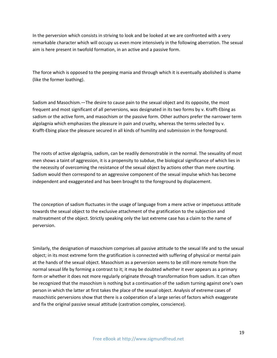In the perversion which consists in striving to look and be looked at we are confronted with a very remarkable character which will occupy us even more intensively in the following aberration. The sexual aim is here present in twofold formation, in an active and a passive form.

The force which is opposed to the peeping mania and through which it is eventually abolished is shame (like the former loathing).

Sadism and Masochism.—The desire to cause pain to the sexual object and its opposite, the most frequent and most significant of all perversions, was designated in its two forms by v. Krafft-Ebing as sadism or the active form, and masochism or the passive form. Other authors prefer the narrower term algolagnia which emphasizes the pleasure in pain and cruelty, whereas the terms selected by v. Krafft-Ebing place the pleasure secured in all kinds of humility and submission in the foreground.

The roots of active algolagnia, sadism, can be readily demonstrable in the normal. The sexuality of most men shows a taint of aggression, it is a propensity to subdue, the biological significance of which lies in the necessity of overcoming the resistance of the sexual object by actions other than mere courting. Sadism would then correspond to an aggressive component of the sexual impulse which has become independent and exaggerated and has been brought to the foreground by displacement.

The conception of sadism fluctuates in the usage of language from a mere active or impetuous attitude towards the sexual object to the exclusive attachment of the gratification to the subjection and maltreatment of the object. Strictly speaking only the last extreme case has a claim to the name of perversion.

Similarly, the designation of masochism comprises all passive attitude to the sexual life and to the sexual object; in its most extreme form the gratification is connected with suffering of physical or mental pain at the hands of the sexual object. Masochism as a perversion seems to be still more remote from the normal sexual life by forming a contrast to it; it may be doubted whether it ever appears as a primary form or whether it does not more regularly originate through transformation from sadism. It can often be recognized that the masochism is nothing but a continuation of the sadism turning against one's own person in which the latter at first takes the place of the sexual object. Analysis of extreme cases of masochistic perversions show that there is a coöperation of a large series of factors which exaggerate and fix the original passive sexual attitude (castration complex, conscience).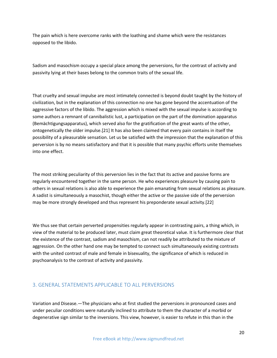The pain which is here overcome ranks with the loathing and shame which were the resistances opposed to the libido.

Sadism and masochism occupy a special place among the perversions, for the contrast of activity and passivity lying at their bases belong to the common traits of the sexual life.

That cruelty and sexual impulse are most intimately connected is beyond doubt taught by the history of civilization, but in the explanation of this connection no one has gone beyond the accentuation of the aggressive factors of the libido. The aggression which is mixed with the sexual impulse is according to some authors a remnant of cannibalistic lust, a participation on the part of the domination apparatus (Bemächtigungsapparatus), which served also for the gratification of the great wants of the other, ontogenetically the older impulse.[21] It has also been claimed that every pain contains in itself the possibility of a pleasurable sensation. Let us be satisfied with the impression that the explanation of this perversion is by no means satisfactory and that it is possible that many psychic efforts unite themselves into one effect.

The most striking peculiarity of this perversion lies in the fact that its active and passive forms are regularly encountered together in the same person. He who experiences pleasure by causing pain to others in sexual relations is also able to experience the pain emanating from sexual relations as pleasure. A sadist is simultaneously a masochist, though either the active or the passive side of the perversion may be more strongly developed and thus represent his preponderate sexual activity.[22]

We thus see that certain perverted propensities regularly appear in contrasting pairs, a thing which, in view of the material to be produced later, must claim great theoretical value. It is furthermore clear that the existence of the contrast, sadism and masochism, can not readily be attributed to the mixture of aggression. On the other hand one may be tempted to connect such simultaneously existing contrasts with the united contrast of male and female in bisexuality, the significance of which is reduced in psychoanalysis to the contrast of activity and passivity.

#### <span id="page-20-0"></span>3. GENERAL STATEMENTS APPLICABLE TO ALL PERVERSIONS

Variation and Disease.—The physicians who at first studied the perversions in pronounced cases and under peculiar conditions were naturally inclined to attribute to them the character of a morbid or degenerative sign similar to the inversions. This view, however, is easier to refute in this than in the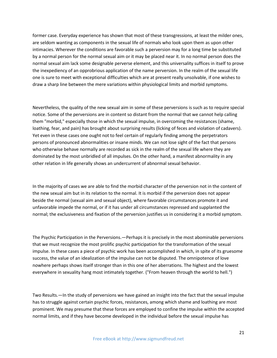former case. Everyday experience has shown that most of these transgressions, at least the milder ones, are seldom wanting as components in the sexual life of normals who look upon them as upon other intimacies. Wherever the conditions are favorable such a perversion may for a long time be substituted by a normal person for the normal sexual aim or it may be placed near it. In no normal person does the normal sexual aim lack some designable perverse element, and this universality suffices in itself to prove the inexpediency of an opprobrious application of the name perversion. In the realm of the sexual life one is sure to meet with exceptional difficulties which are at present really unsolvable, if one wishes to draw a sharp line between the mere variations within physiological limits and morbid symptoms.

Nevertheless, the quality of the new sexual aim in some of these perversions is such as to require special notice. Some of the perversions are in content so distant from the normal that we cannot help calling them "morbid," especially those in which the sexual impulse, in overcoming the resistances (shame, loathing, fear, and pain) has brought about surprising results (licking of feces and violation of cadavers). Yet even in these cases one ought not to feel certain of regularly finding among the perpetrators persons of pronounced abnormalities or insane minds. We can not lose sight of the fact that persons who otherwise behave normally are recorded as sick in the realm of the sexual life where they are dominated by the most unbridled of all impulses. On the other hand, a manifest abnormality in any other relation in life generally shows an undercurrent of abnormal sexual behavior.

In the majority of cases we are able to find the morbid character of the perversion not in the content of the new sexual aim but in its relation to the normal. It is morbid if the perversion does not appear beside the normal (sexual aim and sexual object), where favorable circumstances promote it and unfavorable impede the normal, or if it has under all circumstances repressed and supplanted the normal; the exclusiveness and fixation of the perversion justifies us in considering it a morbid symptom.

The Psychic Participation in the Perversions.—Perhaps it is precisely in the most abominable perversions that we must recognize the most prolific psychic participation for the transformation of the sexual impulse. In these cases a piece of psychic work has been accomplished in which, in spite of its gruesome success, the value of an idealization of the impulse can not be disputed. The omnipotence of love nowhere perhaps shows itself stronger than in this one of her aberrations. The highest and the lowest everywhere in sexuality hang most intimately together. ("From heaven through the world to hell.")

Two Results.—In the study of perversions we have gained an insight into the fact that the sexual impulse has to struggle against certain psychic forces, resistances, among which shame and loathing are most prominent. We may presume that these forces are employed to confine the impulse within the accepted normal limits, and if they have become developed in the individual before the sexual impulse has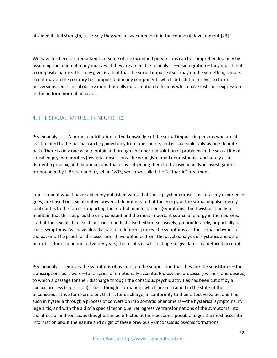attained its full strength, it is really they which have directed it in the course of development.[23]

We have furthermore remarked that some of the examined perversions can be comprehended only by assuming the union of many motives. If they are amenable to analysis—disintegration—they must be of a composite nature. This may give us a hint that the sexual impulse itself may not be something simple, that it may on the contrary be composed of many components which detach themselves to form perversions. Our clinical observation thus calls our attention to fusions which have lost their expression in the uniform normal behavior.

#### <span id="page-22-0"></span>4. THE SEXUAL IMPULSE IN NEUROTICS

Psychoanalysis.—A proper contribution to the knowledge of the sexual impulse in persons who are at least related to the normal can be gained only from one source, and is accessible only by one definite path. There is only one way to obtain a thorough and unerring solution of problems in the sexual life of so-called psychoneurotics (hysteria, obsessions, the wrongly-named neurasthenia, and surely also dementia præcox, and paranoia), and that is by subjecting them to the psychoanalytic investigations propounded by J. Breuer and myself in 1893, which we called the "cathartic" treatment.

I must repeat what I have said in my published work, that these psychoneuroses, as far as my experience goes, are based on sexual motive powers. I do not mean that the energy of the sexual impulse merely contributes to the forces supporting the morbid manifestations (symptoms), but I wish distinctly to maintain that this supplies the only constant and the most important source of energy in the neurosis, so that the sexual life of such persons manifests itself either exclusively, preponderately, or partially in these symptoms. As I have already stated in different places, the symptoms are the sexual activities of the patient. The proof for this assertion I have obtained from the psychoanalysis of hysterics and other neurotics during a period of twenty years, the results of which I hope to give later in a detailed account.

Psychoanalysis removes the symptoms of hysteria on the supposition that they are the substitutes—the transcriptions as it were—for a series of emotionally accentuated psychic processes, wishes, and desires, to which a passage for their discharge through the conscious psychic activities has been cut off by a special process (repression). These thought formations which are restrained in the state of the unconscious strive for expression, that is, for discharge, in conformity to their affective value, and find such in hysteria through a process of conversion into somatic phenomena—the hysterical symptoms. If, lege artis, and with the aid of a special technique, retrogressive transformations of the symptoms into the affectful and conscious thoughts can be effected, it then becomes possible to get the most accurate information about the nature and origin of these previously unconscious psychic formations.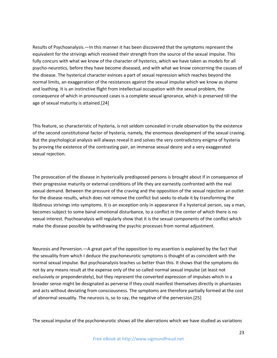Results of Psychoanalysis.—In this manner it has been discovered that the symptoms represent the equivalent for the strivings which received their strength from the source of the sexual impulse. This fully concurs with what we know of the character of hysterics, which we have taken as models for all psycho-neurotics, before they have become diseased, and with what we know concerning the causes of the disease. The hysterical character evinces a part of sexual repression which reaches beyond the normal limits, an exaggeration of the resistances against the sexual impulse which we know as shame and loathing. It is an instinctive flight from intellectual occupation with the sexual problem, the consequence of which in pronounced cases is a complete sexual ignorance, which is preserved till the age of sexual maturity is attained.[24]

This feature, so characteristic of hysteria, is not seldom concealed in crude observation by the existence of the second constitutional factor of hysteria, namely, the enormous development of the sexual craving. But the psychological analysis will always reveal it and solves the very contradictory enigma of hysteria by proving the existence of the contrasting pair, an immense sexual desire and a very exaggerated sexual rejection.

The provocation of the disease in hysterically predisposed persons is brought about if in consequence of their progressive maturity or external conditions of life they are earnestly confronted with the real sexual demand. Between the pressure of the craving and the opposition of the sexual rejection an outlet for the disease results, which does not remove the conflict but seeks to elude it by transforming the libidinous strivings into symptoms. It is an exception only in appearance if a hysterical person, say a man, becomes subject to some banal emotional disturbance, to a conflict in the center of which there is no sexual interest. Psychoanalysis will regularly show that it is the sexual components of the conflict which make the disease possible by withdrawing the psychic processes from normal adjustment.

Neurosis and Perversion.—A great part of the opposition to my assertion is explained by the fact that the sexuality from which I deduce the psychoneurotic symptoms is thought of as coincident with the normal sexual impulse. But psychoanalysis teaches us better than this. It shows that the symptoms do not by any means result at the expense only of the so called normal sexual impulse (at least not exclusively or preponderately), but they represent the converted expression of impulses which in a broader sense might be designated as perverse if they could manifest themselves directly in phantasies and acts without deviating from consciousness. The symptoms are therefore partially formed at the cost of abnormal sexuality. The neurosis is, so to say, the negative of the perversion.[25]

The sexual impulse of the psychoneurotic shows all the aberrations which we have studied as variations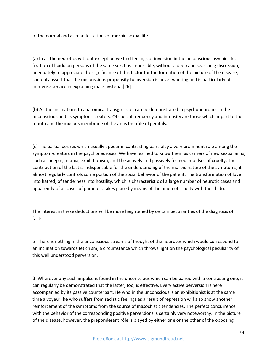of the normal and as manifestations of morbid sexual life.

(a) In all the neurotics without exception we find feelings of inversion in the unconscious psychic life, fixation of libido on persons of the same sex. It is impossible, without a deep and searching discussion, adequately to appreciate the significance of this factor for the formation of the picture of the disease; I can only assert that the unconscious propensity to inversion is never wanting and is particularly of immense service in explaining male hysteria.[26]

(b) All the inclinations to anatomical transgression can be demonstrated in psychoneurotics in the unconscious and as symptom-creators. Of special frequency and intensity are those which impart to the mouth and the mucous membrane of the anus the rôle of genitals.

(c) The partial desires which usually appear in contrasting pairs play a very prominent rôle among the symptom-creators in the psychoneuroses. We have learned to know them as carriers of new sexual aims, such as peeping mania, exhibitionism, and the actively and passively formed impulses of cruelty. The contribution of the last is indispensable for the understanding of the morbid nature of the symptoms; it almost regularly controls some portion of the social behavior of the patient. The transformation of love into hatred, of tenderness into hostility, which is characteristic of a large number of neurotic cases and apparently of all cases of paranoia, takes place by means of the union of cruelty with the libido.

The interest in these deductions will be more heightened by certain peculiarities of the diagnosis of facts.

 $\alpha$ . There is nothing in the unconscious streams of thought of the neuroses which would correspond to an inclination towards fetichism; a circumstance which throws light on the psychological peculiarity of this well understood perversion.

β. Wherever any such impulse is found in the unconscious which can be paired with a contrasting one, it can regularly be demonstrated that the latter, too, is effective. Every active perversion is here accompanied by its passive counterpart. He who in the unconscious is an exhibitionist is at the same time a voyeur, he who suffers from sadistic feelings as a result of repression will also show another reinforcement of the symptoms from the source of masochistic tendencies. The perfect concurrence with the behavior of the corresponding positive perversions is certainly very noteworthy. In the picture of the disease, however, the preponderant rôle is played by either one or the other of the opposing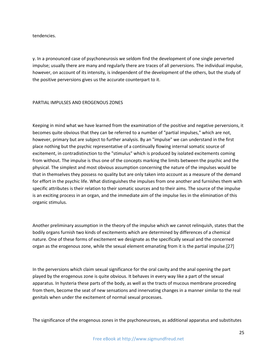tendencies.

γ. In a pronounced case of psychoneurosis we seldom find the development of one single perverted impulse; usually there are many and regularly there are traces of all perversions. The individual impulse, however, on account of its intensity, is independent of the development of the others, but the study of the positive perversions gives us the accurate counterpart to it.

#### PARTIAL IMPULSES AND EROGENOUS ZONES

Keeping in mind what we have learned from the examination of the positive and negative perversions, it becomes quite obvious that they can be referred to a number of "partial impulses," which are not, however, primary but are subject to further analysis. By an "impulse" we can understand in the first place nothing but the psychic representative of a continually flowing internal somatic source of excitement, in contradistinction to the "stimulus" which is produced by isolated excitements coming from without. The impulse is thus one of the concepts marking the limits between the psychic and the physical. The simplest and most obvious assumption concerning the nature of the impulses would be that in themselves they possess no quality but are only taken into account as a measure of the demand for effort in the psychic life. What distinguishes the impulses from one another and furnishes them with specific attributes is their relation to their somatic sources and to their aims. The source of the impulse is an exciting process in an organ, and the immediate aim of the impulse lies in the elimination of this organic stimulus.

Another preliminary assumption in the theory of the impulse which we cannot relinquish, states that the bodily organs furnish two kinds of excitements which are determined by differences of a chemical nature. One of these forms of excitement we designate as the specifically sexual and the concerned organ as the erogenous zone, while the sexual element emanating from it is the partial impulse.[27]

In the perversions which claim sexual significance for the oral cavity and the anal opening the part played by the erogenous zone is quite obvious. It behaves in every way like a part of the sexual apparatus. In hysteria these parts of the body, as well as the tracts of mucous membrane proceeding from them, become the seat of new sensations and innervating changes in a manner similar to the real genitals when under the excitement of normal sexual processes.

The significance of the erogenous zones in the psychoneuroses, as additional apparatus and substitutes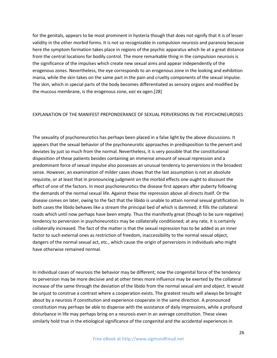for the genitals, appears to be most prominent in hysteria though that does not signify that it is of lesser validity in the other morbid forms. It is not so recognizable in compulsion neurosis and paranoia because here the symptom formation takes place in regions of the psychic apparatus which lie at a great distance from the central locations for bodily control. The more remarkable thing in the compulsion neurosis is the significance of the impulses which create new sexual aims and appear independently of the erogenous zones. Nevertheless, the eye corresponds to an erogenous zone in the looking and exhibition mania, while the skin takes on the same part in the pain and cruelty components of the sexual impulse. The skin, which in special parts of the body becomes differentiated as sensory organs and modified by the mucous membrane, is the erogenous zone, κατ ex ogen.[28]

#### EXPLANATION OF THE MANIFEST PREPONDERANCE OF SEXUAL PERVERSIONS IN THE PSYCHONEUROSES

The sexuality of psychoneurotics has perhaps been placed in a false light by the above discussions. It appears that the sexual behavior of the psychoneurotic approaches in predisposition to the pervert and deviates by just so much from the normal. Nevertheless, it is very possible that the constitutional disposition of these patients besides containing an immense amount of sexual repression and a predominant force of sexual impulse also possesses an unusual tendency to perversions in the broadest sense. However, an examination of milder cases shows that the last assumption is not an absolute requisite, or at least that in pronouncing judgment on the morbid effects one ought to discount the effect of one of the factors. In most psychoneurotics the disease first appears after puberty following the demands of the normal sexual life. Against these the repression above all directs itself. Or the disease comes on later, owing to the fact that the libido is unable to attain normal sexual gratification. In both cases the libido behaves like a stream the principal bed of which is dammed; it fills the collateral roads which until now perhaps have been empty. Thus the manifestly great (though to be sure negative) tendency to perversion in psychoneurotics may be collaterally conditioned; at any rate, it is certainly collaterally increased. The fact of the matter is that the sexual repression has to be added as an inner factor to such external ones as restriction of freedom, inaccessibility to the normal sexual object, dangers of the normal sexual act, etc., which cause the origin of perversions in individuals who might have otherwise remained normal.

In individual cases of neurosis the behavior may be different; now the congenital force of the tendency to perversion may be more decisive and at other times more influence may be exerted by the collateral increase of the same through the deviation of the libido from the normal sexual aim and object. It would be unjust to construe a contrast where a cooperation exists. The greatest results will always be brought about by a neurosis if constitution and experience cooperate in the same direction. A pronounced constitution may perhaps be able to dispense with the assistance of daily impressions, while a profound disturbance in life may perhaps bring on a neurosis even in an average constitution. These views similarly hold true in the etiological significance of the congenital and the accidental experiences in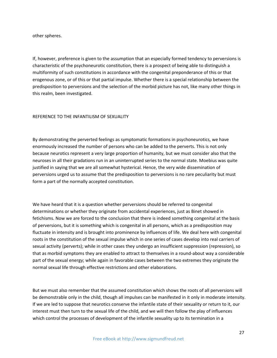other spheres.

If, however, preference is given to the assumption that an especially formed tendency to perversions is characteristic of the psychoneurotic constitution, there is a prospect of being able to distinguish a multiformity of such constitutions in accordance with the congenital preponderance of this or that erogenous zone, or of this or that partial impulse. Whether there is a special relationship between the predisposition to perversions and the selection of the morbid picture has not, like many other things in this realm, been investigated.

#### REFERENCE TO THE INFANTILISM OF SEXUALITY

By demonstrating the perverted feelings as symptomatic formations in psychoneurotics, we have enormously increased the number of persons who can be added to the perverts. This is not only because neurotics represent a very large proportion of humanity, but we must consider also that the neuroses in all their gradations run in an uninterrupted series to the normal state. Moebius was quite justified in saying that we are all somewhat hysterical. Hence, the very wide dissemination of perversions urged us to assume that the predisposition to perversions is no rare peculiarity but must form a part of the normally accepted constitution.

We have heard that it is a question whether perversions should be referred to congenital determinations or whether they originate from accidental experiences, just as Binet showed in fetichisms. Now we are forced to the conclusion that there is indeed something congenital at the basis of perversions, but it is something which is congenital in all persons, which as a predisposition may fluctuate in intensity and is brought into prominence by influences of life. We deal here with congenital roots in the constitution of the sexual impulse which in one series of cases develop into real carriers of sexual activity (perverts); while in other cases they undergo an insufficient suppression (repression), so that as morbid symptoms they are enabled to attract to themselves in a round-about way a considerable part of the sexual energy; while again in favorable cases between the two extremes they originate the normal sexual life through effective restrictions and other elaborations.

But we must also remember that the assumed constitution which shows the roots of all perversions will be demonstrable only in the child, though all impulses can be manifested in it only in moderate intensity. If we are led to suppose that neurotics conserve the infantile state of their sexuality or return to it, our interest must then turn to the sexual life of the child, and we will then follow the play of influences which control the processes of development of the infantile sexuality up to its termination in a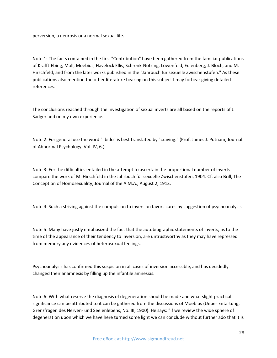perversion, a neurosis or a normal sexual life.

Note 1: The facts contained in the first "Contribution" have been gathered from the familiar publications of Krafft-Ebing, Moll, Moebius, Havelock Ellis, Schrenk-Notzing, Löwenfeld, Eulenberg, J. Bloch, and M. Hirschfeld, and from the later works published in the "Jahrbuch für sexuelle Zwischenstufen." As these publications also mention the other literature bearing on this subject I may forbear giving detailed references.

The conclusions reached through the investigation of sexual inverts are all based on the reports of J. Sadger and on my own experience.

Note 2: For general use the word "libido" is best translated by "craving." (Prof. James J. Putnam, Journal of Abnormal Psychology, Vol. IV, 6.)

Note 3: For the difficulties entailed in the attempt to ascertain the proportional number of inverts compare the work of M. Hirschfeld in the Jahrbuch für sexuelle Zwischenstufen, 1904. Cf. also Brill, The Conception of Homosexuality, Journal of the A.M.A., August 2, 1913.

Note 4: Such a striving against the compulsion to inversion favors cures by suggestion of psychoanalysis.

Note 5: Many have justly emphasized the fact that the autobiographic statements of inverts, as to the time of the appearance of their tendency to inversion, are untrustworthy as they may have repressed from memory any evidences of heterosexual feelings.

Psychoanalysis has confirmed this suspicion in all cases of inversion accessible, and has decidedly changed their anamnesis by filling up the infantile amnesias.

Note 6: With what reserve the diagnosis of degeneration should be made and what slight practical significance can be attributed to it can be gathered from the discussions of Moebius (Ueber Entartung; Grenzfragen des Nerven- und Seelenlebens, No. III, 1900). He says: "If we review the wide sphere of degeneration upon which we have here turned some light we can conclude without further ado that it is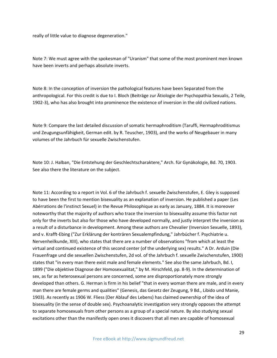really of little value to diagnose degeneration."

Note 7: We must agree with the spokesman of "Uranism" that some of the most prominent men known have been inverts and perhaps absolute inverts.

Note 8: In the conception of inversion the pathological features have been Separated from the anthropological. For this credit is due to I. Bloch (Beiträge zur Ätiologie der Psychopathia Sexualis, 2 Teile, 1902-3), who has also brought into prominence the existence of inversion in the old civilized nations.

Note 9: Compare the last detailed discussion of somatic hermaphroditism (Taruffi, Hermaphroditismus und Zeugungsunfähigkeit, German edit. by R. Teuscher, 1903), and the works of Neugebauer in many volumes of the Jahrbuch für sexuelle Zwischenstufen.

Note 10: J. Halban, "Die Entstehung der Geschlechtscharaktere," Arch. für Gynäkologie, Bd. 70, 1903. See also there the literature on the subject.

Note 11: According to a report in Vol. 6 of the Jahrbuch f. sexuelle Zwischenstufen, E. Gley is supposed to have been the first to mention bisexuality as an explanation of inversion. He published a paper (Les Abérrations de l'instinct Sexuel) in the Revue Philosophique as early as January, 1884. It is moreover noteworthy that the majority of authors who trace the inversion to bisexuality assume this factor not only for the inverts but also for those who have developed normally, and justly interpret the inversion as a result of a disturbance in development. Among these authors are Chevalier (Inversion Sexuelle, 1893), and v. Krafft-Ebing ("Zur Erklärung der konträren Sexualempfindung," Jahrbücher f. Psychiatrie u. Nervenheilkunde, XIII), who states that there are a number of observations "from which at least the virtual and continued existence of this second center (of the underlying sex) results." A Dr. Arduin (Die Frauenfrage und die sexuellen Zwischenstufen, 2d vol. of the Jahrbuch f. sexuelle Zwischenstufen, 1900) states that "in every man there exist male and female elements." See also the same Jahrbuch, Bd. I, 1899 ("Die objektive Diagnose der Homosexualitat," by M. Hirschfeld, pp. 8-9). In the determination of sex, as far as heterosexual persons are concerned, some are disproportionately more strongly developed than others. G. Herman is firm in his belief "that in every woman there are male, and in every man there are female germs and qualities" (Genesis, das Gesetz der Zeugung, 9 Bd., Libido und Manie, 1903). As recently as 1906 W. Fliess (Der Ablauf des Lebens) has claimed ownership of the idea of bisexuality (in the sense of double sex). Psychoanalytic investigation very strongly opposes the attempt to separate homosexuals from other persons as a group of a special nature. By also studying sexual excitations other than the manifestly open ones it discovers that all men are capable of homosexual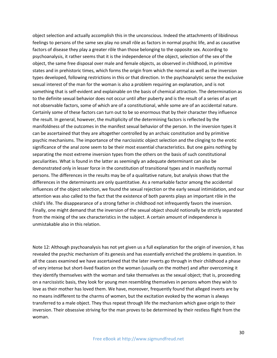object selection and actually accomplish this in the unconscious. Indeed the attachments of libidinous feelings to persons of the same sex play no small rôle as factors in normal psychic life, and as causative factors of disease they play a greater rôle than those belonging to the opposite sex. According to psychoanalysis, it rather seems that it is the independence of the object, selection of the sex of the object, the same free disposal over male and female objects, as observed in childhood, in primitive states and in prehistoric times, which forms the origin from which the normal as well as the inversion types developed, following restrictions in this or that direction. In the psychoanalytic sense the exclusive sexual interest of the man for the woman is also a problem requiring an explanation, and is not something that is self-evident and explainable on the basis of chemical attraction. The determination as to the definite sexual behavior does not occur until after puberty and is the result of a series of as yet not observable factors, some of which are of a constitutional, while some are of an accidental nature. Certainly some of these factors can turn out to be so enormous that by their character they influence the result. In general, however, the multiplicity of the determining factors is reflected by the manifoldness of the outcomes in the manifest sexual behavior of the person. In the inversion types it can be ascertained that they are altogether controlled by an archaic constitution and by primitive psychic mechanisms. The importance of the narcissistic object selection and the clinging to the erotic significance of the anal zone seem to be their most essential characteristics. But one gains nothing by separating the most extreme inversion types from the others on the basis of such constitutional peculiarities. What is found in the latter as seemingly an adequate determinant can also be demonstrated only in lesser force in the constitution of transitional types and in manifestly normal persons. The differences in the results may be of a qualitative nature, but analysis shows that the differences in the determinants are only quantitative. As a remarkable factor among the accidental influences of the object selection, we found the sexual rejection or the early sexual intimidation, and our attention was also called to the fact that the existence of both parents plays an important rôle in the child's life. The disappearance of a strong father in childhood not infrequently favors the inversion. Finally, one might demand that the inversion of the sexual object should notionally be strictly separated from the mixing of the sex characteristics in the subject. A certain amount of independence is unmistakable also in this relation.

Note 12: Although psychoanalysis has not yet given us a full explanation for the origin of inversion, it has revealed the psychic mechanism of its genesis and has essentially enriched the problems in question. In all the cases examined we have ascertained that the later inverts go through in their childhood a phase of very intense but short-lived fixation on the woman (usually on the mother) and after overcoming it they identify themselves with the woman and take themselves as the sexual object; that is, proceeding on a narcissistic basis, they look for young men resembling themselves in persons whom they wish to love as their mother has loved them. We have, moreover, frequently found that alleged inverts are by no means indifferent to the charms of women, but the excitation evoked by the woman is always transferred to a male object. They thus repeat through life the mechanism which gave origin to their inversion. Their obsessive striving for the man proves to be determined by their restless flight from the woman.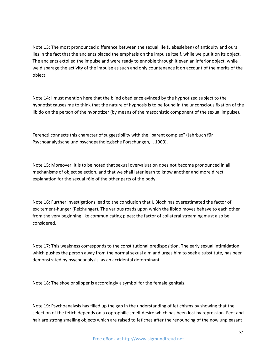Note 13: The most pronounced difference between the sexual life (Liebesleben) of antiquity and ours lies in the fact that the ancients placed the emphasis on the impulse itself, while we put it on its object. The ancients extolled the impulse and were ready to ennoble through it even an inferior object, while we disparage the activity of the impulse as such and only countenance it on account of the merits of the object.

Note 14: I must mention here that the blind obedience evinced by the hypnotized subject to the hypnotist causes me to think that the nature of hypnosis is to be found in the unconscious fixation of the libido on the person of the hypnotizer (by means of the masochistic component of the sexual impulse).

Ferenczi connects this character of suggestibility with the "parent complex" (Jahrbuch für Psychoanalytische und psychopathologische Forschungen, I, 1909).

Note 15: Moreover, it is to be noted that sexual overvaluation does not become pronounced in all mechanisms of object selection, and that we shall later learn to know another and more direct explanation for the sexual rôle of the other parts of the body.

Note 16: Further investigations lead to the conclusion that I. Bloch has overestimated the factor of excitement-hunger (Reizhunger). The various roads upon which the libido moves behave to each other from the very beginning like communicating pipes; the factor of collateral streaming must also be considered.

Note 17: This weakness corresponds to the constitutional predisposition. The early sexual intimidation which pushes the person away from the normal sexual aim and urges him to seek a substitute, has been demonstrated by psychoanalysis, as an accidental determinant.

Note 18: The shoe or slipper is accordingly a symbol for the female genitals.

Note 19: Psychoanalysis has filled up the gap in the understanding of fetichisms by showing that the selection of the fetich depends on a coprophilic smell-desire which has been lost by repression. Feet and hair are strong smelling objects which are raised to fetiches after the renouncing of the now unpleasant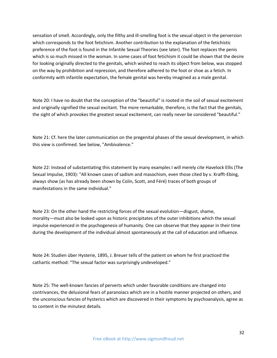sensation of smell. Accordingly, only the filthy and ill-smelling foot is the sexual object in the perversion which corresponds to the foot fetichism. Another contribution to the explanation of the fetichistic preference of the foot is found in the Infantile Sexual Theories (see later). The foot replaces the penis which is so much missed in the woman. In some cases of foot fetichism it could be shown that the desire for looking originally directed to the genitals, which wished to reach its object from below, was stopped on the way by prohibition and repression, and therefore adhered to the foot or shoe as a fetich. In conformity with infantile expectation, the female genital was hereby imagined as a male genital.

Note 20: I have no doubt that the conception of the "beautiful" is rooted in the soil of sexual excitement and originally signified the sexual excitant. The more remarkable, therefore, is the fact that the genitals, the sight of which provokes the greatest sexual excitement, can really never be considered "beautiful."

Note 21: Cf. here the later communication on the pregenital phases of the sexual development, in which this view is confirmed. See below, "Ambivalence."

Note 22: Instead of substantiating this statement by many examples I will merely cite Havelock Ellis (The Sexual Impulse, 1903): "All known cases of sadism and masochism, even those cited by v. Krafft-Ebing, always show (as has already been shown by Colin, Scott, and Féré) traces of both groups of manifestations in the same individual."

Note 23: On the other hand the restricting forces of the sexual evolution—disgust, shame, morality—must also be looked upon as historic precipitates of the outer inhibitions which the sexual impulse experienced in the psychogenesis of humanity. One can observe that they appear in their time during the development of the individual almost spontaneously at the call of education and influence.

Note 24: Studien über Hysterie, 1895, J. Breuer tells of the patient on whom he first practiced the cathartic method: "The sexual factor was surprisingly undeveloped."

Note 25: The well-known fancies of perverts which under favorable conditions are changed into contrivances, the delusional fears of paranoiacs which are in a hostile manner projected on others, and the unconscious fancies of hysterics which are discovered in their symptoms by psychoanalysis, agree as to content in the minutest details.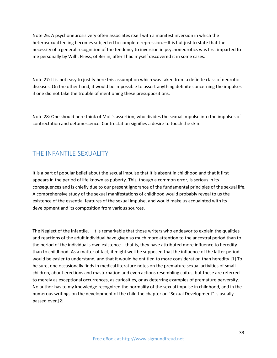Note 26: A psychoneurosis very often associates itself with a manifest inversion in which the heterosexual feeling becomes subjected to complete repression.—It is but just to state that the necessity of a general recognition of the tendency to inversion in psychoneurotics was first imparted to me personally by Wilh. Fliess, of Berlin, after I had myself discovered it in some cases.

Note 27: It is not easy to justify here this assumption which was taken from a definite class of neurotic diseases. On the other hand, it would be impossible to assert anything definite concerning the impulses if one did not take the trouble of mentioning these presuppositions.

Note 28: One should here think of Moll's assertion, who divides the sexual impulse into the impulses of contrectation and detumescence. Contrectation signifies a desire to touch the skin.

## <span id="page-33-0"></span>THE INFANTILE SEXUALITY

It is a part of popular belief about the sexual impulse that it is absent in childhood and that it first appears in the period of life known as puberty. This, though a common error, is serious in its consequences and is chiefly due to our present ignorance of the fundamental principles of the sexual life. A comprehensive study of the sexual manifestations of childhood would probably reveal to us the existence of the essential features of the sexual impulse, and would make us acquainted with its development and its composition from various sources.

The Neglect of the Infantile.—It is remarkable that those writers who endeavor to explain the qualities and reactions of the adult individual have given so much more attention to the ancestral period than to the period of the individual's own existence—that is, they have attributed more influence to heredity than to childhood. As a matter of fact, it might well be supposed that the influence of the latter period would be easier to understand, and that it would be entitled to more consideration than heredity.[1] To be sure, one occasionally finds in medical literature notes on the premature sexual activities of small children, about erections and masturbation and even actions resembling coitus, but these are referred to merely as exceptional occurrences, as curiosities, or as deterring examples of premature perversity. No author has to my knowledge recognized the normality of the sexual impulse in childhood, and in the numerous writings on the development of the child the chapter on "Sexual Development" is usually passed over.[2]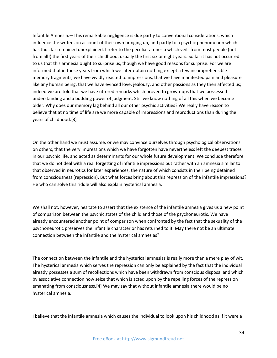Infantile Amnesia.—This remarkable negligence is due partly to conventional considerations, which influence the writers on account of their own bringing up, and partly to a psychic phenomenon which has thus far remained unexplained. I refer to the peculiar amnesia which veils from most people (not from all!) the first years of their childhood, usually the first six or eight years. So far it has not occurred to us that this amnesia ought to surprise us, though we have good reasons for surprise. For we are informed that in those years from which we later obtain nothing except a few incomprehensible memory fragments, we have vividly reacted to impressions, that we have manifested pain and pleasure like any human being, that we have evinced love, jealousy, and other passions as they then affected us; indeed we are told that we have uttered remarks which proved to grown-ups that we possessed understanding and a budding power of judgment. Still we know nothing of all this when we become older. Why does our memory lag behind all our other psychic activities? We really have reason to believe that at no time of life are we more capable of impressions and reproductions than during the years of childhood.[3]

On the other hand we must assume, or we may convince ourselves through psychological observations on others, that the very impressions which we have forgotten have nevertheless left the deepest traces in our psychic life, and acted as determinants for our whole future development. We conclude therefore that we do not deal with a real forgetting of infantile impressions but rather with an amnesia similar to that observed in neurotics for later experiences, the nature of which consists in their being detained from consciousness (repression). But what forces bring about this repression of the infantile impressions? He who can solve this riddle will also explain hysterical amnesia.

We shall not, however, hesitate to assert that the existence of the infantile amnesia gives us a new point of comparison between the psychic states of the child and those of the psychoneurotic. We have already encountered another point of comparison when confronted by the fact that the sexuality of the psychoneurotic preserves the infantile character or has returned to it. May there not be an ultimate connection between the infantile and the hysterical amnesias?

The connection between the infantile and the hysterical amnesias is really more than a mere play of wit. The hysterical amnesia which serves the repression can only be explained by the fact that the individual already possesses a sum of recollections which have been withdrawn from conscious disposal and which by associative connection now seize that which is acted upon by the repelling forces of the repression emanating from consciousness.[4] We may say that without infantile amnesia there would be no hysterical amnesia.

I believe that the infantile amnesia which causes the individual to look upon his childhood as if it were a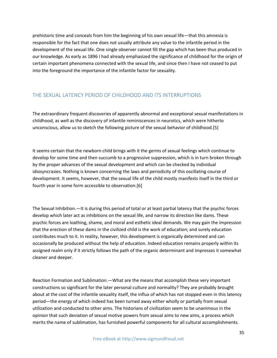prehistoric time and conceals from him the beginning of his own sexual life—that this amnesia is responsible for the fact that one does not usually attribute any value to the infantile period in the development of the sexual life. One single observer cannot fill the gap which has been thus produced in our knowledge. As early as 1896 I had already emphasized the significance of childhood for the origin of certain important phenomena connected with the sexual life, and since then I have not ceased to put into the foreground the importance of the infantile factor for sexuality.

#### <span id="page-35-0"></span>THE SEXUAL LATENCY PERIOD OF CHILDHOOD AND ITS INTERRUPTIONS

The extraordinary frequent discoveries of apparently abnormal and exceptional sexual manifestations in childhood, as well as the discovery of infantile reminiscences in neurotics, which were hitherto unconscious, allow us to sketch the following picture of the sexual behavior of childhood.[5]

It seems certain that the newborn child brings with it the germs of sexual feelings which continue to develop for some time and then succumb to a progressive suppression, which is in turn broken through by the proper advances of the sexual development and which can be checked by individual idiosyncrasies. Nothing is known concerning the laws and periodicity of this oscillating course of development. It seems, however, that the sexual life of the child mostly manifests itself in the third or fourth year in some form accessible to observation.[6]

The Sexual Inhibition.—It is during this period of total or at least partial latency that the psychic forces develop which later act as inhibitions on the sexual life, and narrow its direction like dams. These psychic forces are loathing, shame, and moral and esthetic ideal demands. We may gain the impression that the erection of these dams in the civilized child is the work of education; and surely education contributes much to it. In reality, however, this development is organically determined and can occasionally be produced without the help of education. Indeed education remains properly within its assigned realm only if it strictly follows the path of the organic determinant and impresses it somewhat cleaner and deeper.

Reaction Formation and Sublimation.—What are the means that accomplish these very important constructions so significant for the later personal culture and normality? They are probably brought about at the cost of the infantile sexuality itself, the influx of which has not stopped even in this latency period—the energy of which indeed has been turned away either wholly or partially from sexual utilization and conducted to other aims. The historians of civilization seem to be unanimous in the opinion that such deviation of sexual motive powers from sexual aims to new aims, a process which merits the name of sublimation, has furnished powerful components for all cultural accomplishments.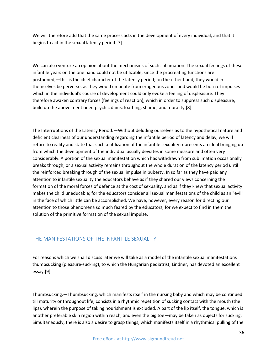We will therefore add that the same process acts in the development of every individual, and that it begins to act in the sexual latency period.[7]

We can also venture an opinion about the mechanisms of such sublimation. The sexual feelings of these infantile years on the one hand could not be utilizable, since the procreating functions are postponed,—this is the chief character of the latency period; on the other hand, they would in themselves be perverse, as they would emanate from erogenous zones and would be born of impulses which in the individual's course of development could only evoke a feeling of displeasure. They therefore awaken contrary forces (feelings of reaction), which in order to suppress such displeasure, build up the above mentioned psychic dams: loathing, shame, and morality.[8]

The Interruptions of the Latency Period.—Without deluding ourselves as to the hypothetical nature and deficient clearness of our understanding regarding the infantile period of latency and delay, we will return to reality and state that such a utilization of the infantile sexuality represents an ideal bringing up from which the development of the individual usually deviates in some measure and often very considerably. A portion of the sexual manifestation which has withdrawn from sublimation occasionally breaks through, or a sexual activity remains throughout the whole duration of the latency period until the reinforced breaking through of the sexual impulse in puberty. In so far as they have paid any attention to infantile sexuality the educators behave as if they shared our views concerning the formation of the moral forces of defence at the cost of sexuality, and as if they knew that sexual activity makes the child uneducable; for the educators consider all sexual manifestations of the child as an "evil" in the face of which little can be accomplished. We have, however, every reason for directing our attention to those phenomena so much feared by the educators, for we expect to find in them the solution of the primitive formation of the sexual impulse.

#### THE MANIFESTATIONS OF THE INFANTILE SEXUALITY

For reasons which we shall discuss later we will take as a model of the infantile sexual manifestations thumbsucking (pleasure-sucking), to which the Hungarian pediatrist, Lindner, has devoted an excellent essay.[9]

Thumbsucking.—Thumbsucking, which manifests itself in the nursing baby and which may be continued till maturity or throughout life, consists in a rhythmic repetition of sucking contact with the mouth (the lips), wherein the purpose of taking nourishment is excluded. A part of the lip itself, the tongue, which is another preferable skin region within reach, and even the big toe—may be taken as objects for sucking. Simultaneously, there is also a desire to grasp things, which manifests itself in a rhythmical pulling of the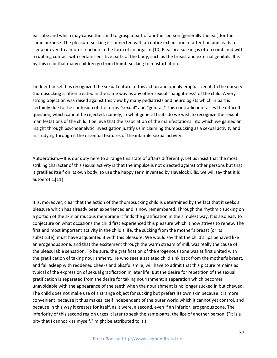ear lobe and which may cause the child to grasp a part of another person (generally the ear) for the same purpose. The pleasure-sucking is connected with an entire exhaustion of attention and leads to sleep or even to a motor reaction in the form of an orgasm.[10] Pleasure-sucking is often combined with a rubbing contact with certain sensitive parts of the body, such as the breast and external genitals. It is by this road that many children go from thumb-sucking to masturbation.

Lindner himself has recognized the sexual nature of this action and openly emphasized it. In the nursery thumbsucking is often treated in the same way as any other sexual "naughtiness" of the child. A very strong objection was raised against this view by many pediatrists and neurologists which in part is certainly due to the confusion of the terms "sexual" and "genital." This contradiction raises the difficult question, which cannot be rejected, namely, in what general traits do we wish to recognize the sexual manifestations of the child. I believe that the association of the manifestations into which we gained an insight through psychoanalytic investigation justify us in claiming thumbsucking as a sexual activity and in studying through it the essential features of the infantile sexual activity.

Autoerotism.—It is our duty here to arrange this state of affairs differently. Let us insist that the most striking character of this sexual activity is that the impulse is not directed against other persons but that it gratifies itself on its own body; to use the happy term invented by Havelock Ellis, we will say that it is autoerotic.[11]

It is, moreover, clear that the action of the thumbsucking child is determined by the fact that it seeks a pleasure which has already been experienced and is now remembered. Through the rhythmic sucking on a portion of the skin or mucous membrane it finds the gratification in the simplest way. It is also easy to conjecture on what occasions the child first experienced this pleasure which it now strives to renew. The first and most important activity in the child's life, the sucking from the mother's breast (or its substitute), must have acquainted it with this pleasure. We would say that the child's lips behaved like an erogenous zone, and that the excitement through the warm stream of milk was really the cause of the pleasurable sensation. To be sure, the gratification of the erogenous zone was at first united with the gratification of taking nourishment. He who sees a satiated child sink back from the mother's breast, and fall asleep with reddened cheeks and blissful smile, will have to admit that this picture remains as typical of the expression of sexual gratification in later life. But the desire for repetition of the sexual gratification is separated from the desire for taking nourishment; a separation which becomes unavoidable with the appearance of the teeth when the nourishment is no longer sucked in but chewed. The child does not make use of a strange object for sucking but prefers its own skin because it is more convenient, because it thus makes itself independent of the outer world which it cannot yet control, and because in this way it creates for itself, as it were, a second, even if an inferior, erogenous zone. The inferiority of this second region urges it later to seek the same parts, the lips of another person. ("It is a pity that I cannot kiss myself," might be attributed to it.)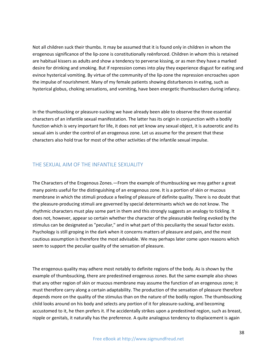Not all children suck their thumbs. It may be assumed that it is found only in children in whom the erogenous significance of the lip-zone is constitutionally reënforced. Children in whom this is retained are habitual kissers as adults and show a tendency to perverse kissing, or as men they have a marked desire for drinking and smoking. But if repression comes into play they experience disgust for eating and evince hysterical vomiting. By virtue of the community of the lip-zone the repression encroaches upon the impulse of nourishment. Many of my female patients showing disturbances in eating, such as hysterical globus, choking sensations, and vomiting, have been energetic thumbsuckers during infancy.

In the thumbsucking or pleasure-sucking we have already been able to observe the three essential characters of an infantile sexual manifestation. The latter has its origin in conjunction with a bodily function which is very important for life, it does not yet know any sexual object, it is autoerotic and its sexual aim is under the control of an erogenous zone. Let us assume for the present that these characters also hold true for most of the other activities of the infantile sexual impulse.

## THE SEXUAL AIM OF THE INFANTILE SEXUALITY

The Characters of the Erogenous Zones.—From the example of thumbsucking we may gather a great many points useful for the distinguishing of an erogenous zone. It is a portion of skin or mucous membrane in which the stimuli produce a feeling of pleasure of definite quality. There is no doubt that the pleasure-producing stimuli are governed by special determinants which we do not know. The rhythmic characters must play some part in them and this strongly suggests an analogy to tickling. It does not, however, appear so certain whether the character of the pleasurable feeling evoked by the stimulus can be designated as "peculiar," and in what part of this peculiarity the sexual factor exists. Psychology is still groping in the dark when it concerns matters of pleasure and pain, and the most cautious assumption is therefore the most advisable. We may perhaps later come upon reasons which seem to support the peculiar quality of the sensation of pleasure.

The erogenous quality may adhere most notably to definite regions of the body. As is shown by the example of thumbsucking, there are predestined erogenous zones. But the same example also shows that any other region of skin or mucous membrane may assume the function of an erogenous zone; it must therefore carry along a certain adaptability. The production of the sensation of pleasure therefore depends more on the quality of the stimulus than on the nature of the bodily region. The thumbsucking child looks around on his body and selects any portion of it for pleasure-sucking, and becoming accustomed to it, he then prefers it. If he accidentally strikes upon a predestined region, such as breast, nipple or genitals, it naturally has the preference. A quite analogous tendency to displacement is again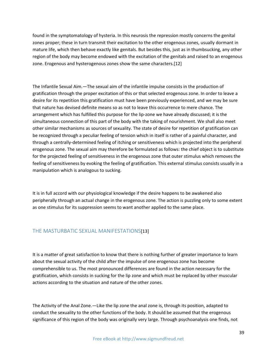found in the symptomatology of hysteria. In this neurosis the repression mostly concerns the genital zones proper; these in turn transmit their excitation to the other erogenous zones, usually dormant in mature life, which then behave exactly like genitals. But besides this, just as in thumbsucking, any other region of the body may become endowed with the excitation of the genitals and raised to an erogenous zone. Erogenous and hysterogenous zones show the same characters.[12]

The Infantile Sexual Aim.—The sexual aim of the infantile impulse consists in the production of gratification through the proper excitation of this or that selected erogenous zone. In order to leave a desire for its repetition this gratification must have been previously experienced, and we may be sure that nature has devised definite means so as not to leave this occurrence to mere chance. The arrangement which has fulfilled this purpose for the lip-zone we have already discussed; it is the simultaneous connection of this part of the body with the taking of nourishment. We shall also meet other similar mechanisms as sources of sexuality. The state of desire for repetition of gratification can be recognized through a peculiar feeling of tension which in itself is rather of a painful character, and through a centrally-determined feeling of itching or sensitiveness which is projected into the peripheral erogenous zone. The sexual aim may therefore be formulated as follows: the chief object is to substitute for the projected feeling of sensitiveness in the erogenous zone that outer stimulus which removes the feeling of sensitiveness by evoking the feeling of gratification. This external stimulus consists usually in a manipulation which is analogous to sucking.

It is in full accord with our physiological knowledge if the desire happens to be awakened also peripherally through an actual change in the erogenous zone. The action is puzzling only to some extent as one stimulus for its suppression seems to want another applied to the same place.

## THE MASTURBATIC SEXUAL MANIFESTATIONS[13]

It is a matter of great satisfaction to know that there is nothing further of greater importance to learn about the sexual activity of the child after the impulse of one erogenous zone has become comprehensible to us. The most pronounced differences are found in the action necessary for the gratification, which consists in sucking for the lip zone and which must be replaced by other muscular actions according to the situation and nature of the other zones.

The Activity of the Anal Zone.—Like the lip zone the anal zone is, through its position, adapted to conduct the sexuality to the other functions of the body. It should be assumed that the erogenous significance of this region of the body was originally very large. Through psychoanalysis one finds, not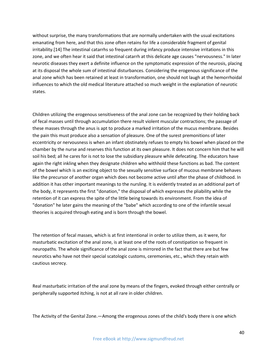without surprise, the many transformations that are normally undertaken with the usual excitations emanating from here, and that this zone often retains for life a considerable fragment of genital irritability.[14] The intestinal catarrhs so frequent during infancy produce intensive irritations in this zone, and we often hear it said that intestinal catarrh at this delicate age causes "nervousness." In later neurotic diseases they exert a definite influence on the symptomatic expression of the neurosis, placing at its disposal the whole sum of intestinal disturbances. Considering the erogenous significance of the anal zone which has been retained at least in transformation, one should not laugh at the hemorrhoidal influences to which the old medical literature attached so much weight in the explanation of neurotic states.

Children utilizing the erogenous sensitiveness of the anal zone can be recognized by their holding back of fecal masses until through accumulation there result violent muscular contractions; the passage of these masses through the anus is apt to produce a marked irritation of the mucus membrane. Besides the pain this must produce also a sensation of pleasure. One of the surest premonitions of later eccentricity or nervousness is when an infant obstinately refuses to empty his bowel when placed on the chamber by the nurse and reserves this function at its own pleasure. It does not concern him that he will soil his bed; all he cares for is not to lose the subsidiary pleasure while defecating. The educators have again the right inkling when they designate children who withhold these functions as bad. The content of the bowel which is an exciting object to the sexually sensitive surface of mucous membrane behaves like the precursor of another organ which does not become active until after the phase of childhood. In addition it has other important meanings to the nursling. It is evidently treated as an additional part of the body, it represents the first "donation," the disposal of which expresses the pliability while the retention of it can express the spite of the little being towards its environment. From the idea of "donation" he later gains the meaning of the "babe" which according to one of the infantile sexual theories is acquired through eating and is born through the bowel.

The retention of fecal masses, which is at first intentional in order to utilize them, as it were, for masturbatic excitation of the anal zone, is at least one of the roots of constipation so frequent in neuropaths. The whole significance of the anal zone is mirrored in the fact that there are but few neurotics who have not their special scatologic customs, ceremonies, etc., which they retain with cautious secrecy.

Real masturbatic irritation of the anal zone by means of the fingers, evoked through either centrally or peripherally supported itching, is not at all rare in older children.

The Activity of the Genital Zone.—Among the erogenous zones of the child's body there is one which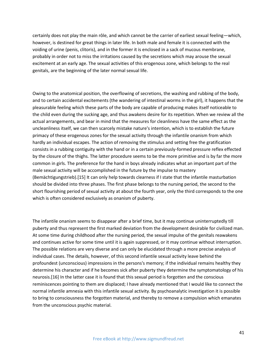certainly does not play the main rôle, and which cannot be the carrier of earliest sexual feeling—which, however, is destined for great things in later life. In both male and female it is connected with the voiding of urine (penis, clitoris), and in the former it is enclosed in a sack of mucous membrane, probably in order not to miss the irritations caused by the secretions which may arouse the sexual excitement at an early age. The sexual activities of this erogenous zone, which belongs to the real genitals, are the beginning of the later normal sexual life.

Owing to the anatomical position, the overflowing of secretions, the washing and rubbing of the body, and to certain accidental excitements (the wandering of intestinal worms in the girl), it happens that the pleasurable feeling which these parts of the body are capable of producing makes itself noticeable to the child even during the sucking age, and thus awakens desire for its repetition. When we review all the actual arrangements, and bear in mind that the measures for cleanliness have the same effect as the uncleanliness itself, we can then scarcely mistake nature's intention, which is to establish the future primacy of these erogenous zones for the sexual activity through the infantile onanism from which hardly an individual escapes. The action of removing the stimulus and setting free the gratification consists in a rubbing contiguity with the hand or in a certain previously-formed pressure reflex effected by the closure of the thighs. The latter procedure seems to be the more primitive and is by far the more common in girls. The preference for the hand in boys already indicates what an important part of the male sexual activity will be accomplished in the future by the impulse to mastery (Bemächtigungstrieb).[15] It can only help towards clearness if I state that the infantile masturbation should be divided into three phases. The first phase belongs to the nursing period, the second to the short flourishing period of sexual activity at about the fourth year, only the third corresponds to the one which is often considered exclusively as onanism of puberty.

The infantile onanism seems to disappear after a brief time, but it may continue uninterruptedly till puberty and thus represent the first marked deviation from the development desirable for civilized man. At some time during childhood after the nursing period, the sexual impulse of the genitals reawakens and continues active for some time until it is again suppressed, or it may continue without interruption. The possible relations are very diverse and can only be elucidated through a more precise analysis of individual cases. The details, however, of this second infantile sexual activity leave behind the profoundest (unconscious) impressions in the persons's memory; if the individual remains healthy they determine his character and if he becomes sick after puberty they determine the symptomatology of his neurosis.[16] In the latter case it is found that this sexual period is forgotten and the conscious reminiscences pointing to them are displaced; I have already mentioned that I would like to connect the normal infantile amnesia with this infantile sexual activity. By psychoanalytic investigation it is possible to bring to consciousness the forgotten material, and thereby to remove a compulsion which emanates from the unconscious psychic material.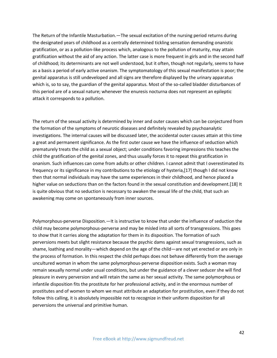The Return of the Infantile Masturbation.—The sexual excitation of the nursing period returns during the designated years of childhood as a centrally determined tickling sensation demanding onanistic gratification, or as a pollution-like process which, analogous to the pollution of maturity, may attain gratification without the aid of any action. The latter case is more frequent in girls and in the second half of childhood; its determinants are not well understood, but it often, though not regularly, seems to have as a basis a period of early active onanism. The symptomatology of this sexual manifestation is poor; the genital apparatus is still undeveloped and all signs are therefore displayed by the urinary apparatus which is, so to say, the guardian of the genital apparatus. Most of the so-called bladder disturbances of this period are of a sexual nature; whenever the enuresis nocturna does not represent an epileptic attack it corresponds to a pollution.

The return of the sexual activity is determined by inner and outer causes which can be conjectured from the formation of the symptoms of neurotic diseases and definitely revealed by psychoanalytic investigations. The internal causes will be discussed later, the accidental outer causes attain at this time a great and permanent significance. As the first outer cause we have the influence of seduction which prematurely treats the child as a sexual object; under conditions favoring impressions this teaches the child the gratification of the genital zones, and thus usually forces it to repeat this gratification in onanism. Such influences can come from adults or other children. I cannot admit that I overestimated its frequency or its significance in my contributions to the etiology of hysteria,[17] though I did not know then that normal individuals may have the same experiences in their childhood, and hence placed a higher value on seductions than on the factors found in the sexual constitution and development.[18] It is quite obvious that no seduction is necessary to awaken the sexual life of the child, that such an awakening may come on spontaneously from inner sources.

Polymorphous-perverse Disposition.—It is instructive to know that under the influence of seduction the child may become polymorphous-perverse and may be misled into all sorts of transgressions. This goes to show that it carries along the adaptation for them in its disposition. The formation of such perversions meets but slight resistance because the psychic dams against sexual transgressions, such as shame, loathing and morality—which depend on the age of the child—are not yet erected or are only in the process of formation. In this respect the child perhaps does not behave differently from the average uncultured woman in whom the same polymorphous-perverse disposition exists. Such a woman may remain sexually normal under usual conditions, but under the guidance of a clever seducer she will find pleasure in every perversion and will retain the same as her sexual activity. The same polymorphous or infantile disposition fits the prostitute for her professional activity, and in the enormous number of prostitutes and of women to whom we must attribute an adaptation for prostitution, even if they do not follow this calling, it is absolutely impossible not to recognize in their uniform disposition for all perversions the universal and primitive human.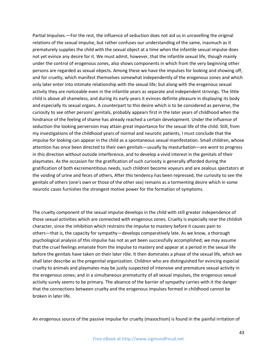Partial Impulses.—For the rest, the influence of seduction does not aid us in unravelling the original relations of the sexual impulse, but rather confuses our understanding of the same, inasmuch as it prematurely supplies the child with the sexual object at a time when the infantile sexual impulse does not yet evince any desire for it. We must admit, however, that the infantile sexual life, though mainly under the control of erogenous zones, also shows components in which from the very beginning other persons are regarded as sexual objects. Among these we have the impulses for looking and showing off, and for cruelty, which manifest themselves somewhat independently of the erogenous zones and which only later enter into intimate relationship with the sexual life; but along with the erogenous sexual activity they are noticeable even in the infantile years as separate and independent strivings. The little child is above all shameless, and during its early years it evinces definite pleasure in displaying its body and especially its sexual organs. A counterpart to this desire which is to be considered as perverse, the curiosity to see other persons' genitals, probably appears first in the later years of childhood when the hindrance of the feeling of shame has already reached a certain development. Under the influence of seduction the looking perversion may attain great importance for the sexual life of the child. Still, from my investigations of the childhood years of normal and neurotic patients, I must conclude that the impulse for looking can appear in the child as a spontaneous sexual manifestation. Small children, whose attention has once been directed to their own genitals—usually by masturbation—are wont to progress in this direction without outside interference, and to develop a vivid interest in the genitals of their playmates. As the occasion for the gratification of such curiosity is generally afforded during the gratification of both excrementitious needs, such children become voyeurs and are zealous spectators at the voiding of urine and feces of others, After this tendency has been repressed, the curiosity to see the genitals of others (one's own or those of the other sex) remains as a tormenting desire which in some neurotic cases furnishes the strongest motive power for the formation of symptoms.

The cruelty component of the sexual impulse develops in the child with still greater independence of those sexual activities which are connected with erogenous zones. Cruelty is especially near the childish character, since the inhibition which restrains the impulse to mastery before it causes pain to others—that is, the capacity for sympathy—develops comparatively late. As we know, a thorough psychological analysis of this impulse has not as yet been successfully accomplished; we may assume that the cruel feelings emanate from the impulse to mastery and appear at a period in the sexual life before the genitals have taken on their later rôle. It then dominates a phase of the sexual life, which we shall later describe as the pregenital organization. Children who are distinguished for evincing especial cruelty to animals and playmates may be justly suspected of intensive and premature sexual activity in the erogenous zones; and in a simultaneous prematurity of all sexual impulses, the erogenous sexual activity surely seems to be primary. The absence of the barrier of sympathy carries with it the danger that the connections between cruelty and the erogenous impulses formed in childhood cannot be broken in later life.

An erogenous source of the passive impulse for cruelty (masochism) is found in the painful irritation of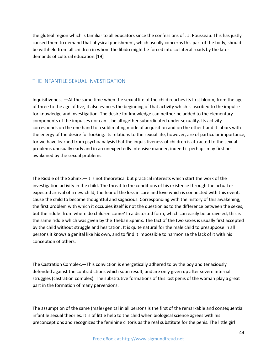the gluteal region which is familiar to all educators since the confessions of J.J. Rousseau. This has justly caused them to demand that physical punishment, which usually concerns this part of the body, should be withheld from all children in whom the libido might be forced into collateral roads by the later demands of cultural education.[19]

## THE INFANTILE SEXUAL INVESTIGATION

Inquisitiveness.—At the same time when the sexual life of the child reaches its first bloom, from the age of three to the age of five, it also evinces the beginning of that activity which is ascribed to the impulse for knowledge and investigation. The desire for knowledge can neither be added to the elementary components of the impulses nor can it be altogether subordinated under sexuality. Its activity corresponds on the one hand to a sublimating mode of acquisition and on the other hand it labors with the energy of the desire for looking. Its relations to the sexual life, however, are of particular importance, for we have learned from psychoanalysis that the inquisitiveness of children is attracted to the sexual problems unusually early and in an unexpectedly intensive manner, indeed it perhaps may first be awakened by the sexual problems.

The Riddle of the Sphinx.—It is not theoretical but practical interests which start the work of the investigation activity in the child. The threat to the conditions of his existence through the actual or expected arrival of a new child, the fear of the loss in care and love which is connected with this event, cause the child to become thoughtful and sagacious. Corresponding with the history of this awakening, the first problem with which it occupies itself is not the question as to the difference between the sexes, but the riddle: from where do children come? In a distorted form, which can easily be unraveled, this is the same riddle which was given by the Theban Sphinx. The fact of the two sexes is usually first accepted by the child without struggle and hesitation. It is quite natural for the male child to presuppose in all persons it knows a genital like his own, and to find it impossible to harmonize the lack of it with his conception of others.

The Castration Complex.—This conviction is energetically adhered to by the boy and tenaciously defended against the contradictions which soon result, and are only given up after severe internal struggles (castration complex). The substitutive formations of this lost penis of the woman play a great part in the formation of many perversions.

The assumption of the same (male) genital in all persons is the first of the remarkable and consequential infantile sexual theories. It is of little help to the child when biological science agrees with his preconceptions and recognizes the feminine clitoris as the real substitute for the penis. The little girl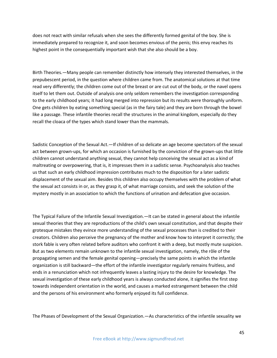does not react with similar refusals when she sees the differently formed genital of the boy. She is immediately prepared to recognize it, and soon becomes envious of the penis; this envy reaches its highest point in the consequentially important wish that she also should be a boy.

Birth Theories.—Many people can remember distinctly how intensely they interested themselves, in the prepubescent period, in the question where children came from. The anatomical solutions at that time read very differently; the children come out of the breast or are cut out of the body, or the navel opens itself to let them out. Outside of analysis one only seldom remembers the investigation corresponding to the early childhood years; it had long merged into repression but its results were thoroughly uniform. One gets children by eating something special (as in the fairy tale) and they are born through the bowel like a passage. These infantile theories recall the structures in the animal kingdom, especially do they recall the cloaca of the types which stand lower than the mammals.

Sadistic Conception of the Sexual Act.—If children of so delicate an age become spectators of the sexual act between grown-ups, for which an occasion is furnished by the conviction of the grown-ups that little children cannot understand anything sexual, they cannot help conceiving the sexual act as a kind of maltreating or overpowering, that is, it impresses them in a sadistic sense. Psychoanalysis also teaches us that such an early childhood impression contributes much to the disposition for a later sadistic displacement of the sexual aim. Besides this children also occupy themselves with the problem of what the sexual act consists in or, as they grasp it, of what marriage consists, and seek the solution of the mystery mostly in an association to which the functions of urination and defecation give occasion.

The Typical Failure of the Infantile Sexual Investigation.—It can be stated in general about the infantile sexual theories that they are reproductions of the child's own sexual constitution, and that despite their grotesque mistakes they evince more understanding of the sexual processes than is credited to their creators. Children also perceive the pregnancy of the mother and know how to interpret it correctly; the stork fable is very often related before auditors who confront it with a deep, but mostly mute suspicion. But as two elements remain unknown to the infantile sexual investigation, namely, the rôle of the propagating semen and the female genital opening—precisely the same points in which the infantile organization is still backward—the effort of the infantile investigator regularly remains fruitless, and ends in a renunciation which not infrequently leaves a lasting injury to the desire for knowledge. The sexual investigation of these early childhood years is always conducted alone, it signifies the first step towards independent orientation in the world, and causes a marked estrangement between the child and the persons of his environment who formerly enjoyed its full confidence.

The Phases of Development of the Sexual Organization.—As characteristics of the infantile sexuality we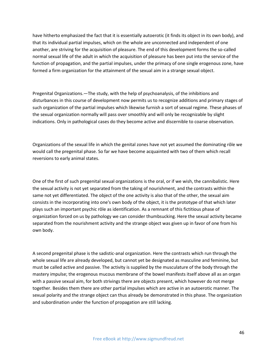have hitherto emphasized the fact that it is essentially autoerotic (it finds its object in its own body), and that its individual partial impulses, which on the whole are unconnected and independent of one another, are striving for the acquisition of pleasure. The end of this development forms the so-called normal sexual life of the adult in which the acquisition of pleasure has been put into the service of the function of propagation, and the partial impulses, under the primacy of one single erogenous zone, have formed a firm organization for the attainment of the sexual aim in a strange sexual object.

Pregenital Organizations.—The study, with the help of psychoanalysis, of the inhibitions and disturbances in this course of development now permits us to recognize additions and primary stages of such organization of the partial impulses which likewise furnish a sort of sexual regime. These phases of the sexual organization normally will pass over smoothly and will only be recognizable by slight indications. Only in pathological cases do they become active and discernible to coarse observation.

Organizations of the sexual life in which the genital zones have not yet assumed the dominating rôle we would call the pregenital phase. So far we have become acquainted with two of them which recall reversions to early animal states.

One of the first of such pregenital sexual organizations is the oral, or if we wish, the cannibalistic. Here the sexual activity is not yet separated from the taking of nourishment, and the contrasts within the same not yet differentiated. The object of the one activity is also that of the other, the sexual aim consists in the incorporating into one's own body of the object, it is the prototype of that which later plays such an important psychic rôle as identification. As a remnant of this fictitious phase of organization forced on us by pathology we can consider thumbsucking. Here the sexual activity became separated from the nourishment activity and the strange object was given up in favor of one from his own body.

A second pregenital phase is the sadistic-anal organization. Here the contrasts which run through the whole sexual life are already developed, but cannot yet be designated as masculine and feminine, but must be called active and passive. The activity is supplied by the musculature of the body through the mastery impulse; the erogenous mucous membrane of the bowel manifests itself above all as an organ with a passive sexual aim, for both strivings there are objects present, which however do not merge together. Besides them there are other partial impulses which are active in an autoerotic manner. The sexual polarity and the strange object can thus already be demonstrated in this phase. The organization and subordination under the function of propagation are still lacking.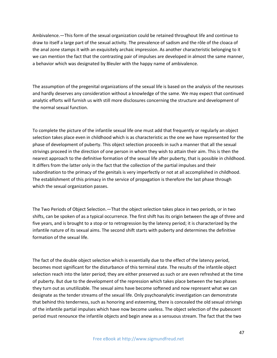Ambivalence.—This form of the sexual organization could be retained throughout life and continue to draw to itself a large part of the sexual activity. The prevalence of sadism and the rôle of the cloaca of the anal zone stamps it with an exquisitely archaic impression. As another characteristic belonging to it we can mention the fact that the contrasting pair of impulses are developed in almost the same manner, a behavior which was designated by Bleuler with the happy name of ambivalence.

The assumption of the pregenital organizations of the sexual life is based on the analysis of the neuroses and hardly deserves any consideration without a knowledge of the same. We may expect that continued analytic efforts will furnish us with still more disclosures concerning the structure and development of the normal sexual function.

To complete the picture of the infantile sexual life one must add that frequently or regularly an object selection takes place even in childhood which is as characteristic as the one we have represented for the phase of development of puberty. This object selection proceeds in such a manner that all the sexual strivings proceed in the direction of one person in whom they wish to attain their aim. This is then the nearest approach to the definitive formation of the sexual life after puberty, that is possible in childhood. It differs from the latter only in the fact that the collection of the partial impulses and their subordination to the primacy of the genitals is very imperfectly or not at all accomplished in childhood. The establishment of this primacy in the service of propagation is therefore the last phase through which the sexual organization passes.

The Two Periods of Object Selection.—That the object selection takes place in two periods, or in two shifts, can be spoken of as a typical occurrence. The first shift has its origin between the age of three and five years, and is brought to a stop or to retrogression by the latency period; it is characterized by the infantile nature of its sexual aims. The second shift starts with puberty and determines the definitive formation of the sexual life.

The fact of the double object selection which is essentially due to the effect of the latency period, becomes most significant for the disturbance of this terminal state. The results of the infantile object selection reach into the later period; they are either preserved as such or are even refreshed at the time of puberty. But due to the development of the repression which takes place between the two phases they turn out as unutilizable. The sexual aims have become softened and now represent what we can designate as the tender streams of the sexual life. Only psychoanalytic investigation can demonstrate that behind this tenderness, such as honoring and esteeming, there is concealed the old sexual strivings of the infantile partial impulses which have now become useless. The object selection of the pubescent period must renounce the infantile objects and begin anew as a sensuous stream. The fact that the two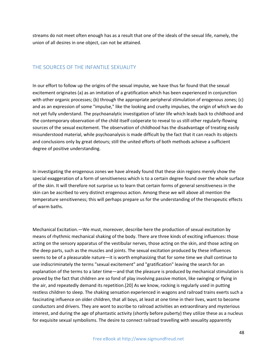streams do not meet often enough has as a result that one of the ideals of the sexual life, namely, the union of all desires in one object, can not be attained.

## THE SOURCES OF THE INFANTILE SEXUALITY

In our effort to follow up the origins of the sexual impulse, we have thus far found that the sexual excitement originates (a) as an imitation of a gratification which has been experienced in conjunction with other organic processes; (b) through the appropriate peripheral stimulation of erogenous zones; (c) and as an expression of some "impulse," like the looking and cruelty impulses, the origin of which we do not yet fully understand. The psychoanalytic investigation of later life which leads back to childhood and the contemporary observation of the child itself coöperate to reveal to us still other regularly-flowing sources of the sexual excitement. The observation of childhood has the disadvantage of treating easily misunderstood material, while psychoanalysis is made difficult by the fact that it can reach its objects and conclusions only by great detours; still the united efforts of both methods achieve a sufficient degree of positive understanding.

In investigating the erogenous zones we have already found that these skin regions merely show the special exaggeration of a form of sensitiveness which is to a certain degree found over the whole surface of the skin. It will therefore not surprise us to learn that certain forms of general sensitiveness in the skin can be ascribed to very distinct erogenous action. Among these we will above all mention the temperature sensitiveness; this will perhaps prepare us for the understanding of the therapeutic effects of warm baths.

Mechanical Excitation.—We must, moreover, describe here the production of sexual excitation by means of rhythmic mechanical shaking of the body. There are three kinds of exciting influences: those acting on the sensory apparatus of the vestibular nerves, those acting on the skin, and those acting on the deep parts, such as the muscles and joints. The sexual excitation produced by these influences seems to be of a pleasurable nature—it is worth emphasizing that for some time we shall continue to use indiscriminately the terms "sexual excitement" and "gratification" leaving the search for an explanation of the terms to a later time—and that the pleasure is produced by mechanical stimulation is proved by the fact that children are so fond of play involving passive motion, like swinging or flying in the air, and repeatedly demand its repetition.[20] As we know, rocking is regularly used in putting restless children to sleep. The shaking sensation experienced in wagons and railroad trains exerts such a fascinating influence on older children, that all boys, at least at one time in their lives, want to become conductors and drivers. They are wont to ascribe to railroad activities an extraordinary and mysterious interest, and during the age of phantastic activity (shortly before puberty) they utilize these as a nucleus for exquisite sexual symbolisms. The desire to connect railroad travelling with sexuality apparently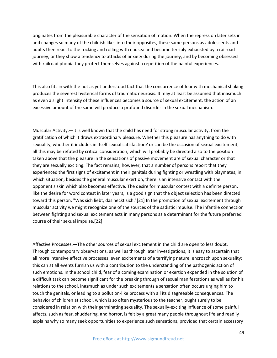originates from the pleasurable character of the sensation of motion. When the repression later sets in and changes so many of the childish likes into their opposites, these same persons as adolescents and adults then react to the rocking and rolling with nausea and become terribly exhausted by a railroad journey, or they show a tendency to attacks of anxiety during the journey, and by becoming obsessed with railroad phobia they protect themselves against a repetition of the painful experiences.

This also fits in with the not as yet understood fact that the concurrence of fear with mechanical shaking produces the severest hysterical forms of traumatic neurosis. It may at least be assumed that inasmuch as even a slight intensity of these influences becomes a source of sexual excitement, the action of an excessive amount of the same will produce a profound disorder in the sexual mechanism.

Muscular Activity.—It is well known that the child has need for strong muscular activity, from the gratification of which it draws extraordinary pleasure. Whether this pleasure has anything to do with sexuality, whether it includes in itself sexual satisfaction? or can be the occasion of sexual excitement; all this may be refuted by critical consideration, which will probably be directed also to the position taken above that the pleasure in the sensations of passive movement are of sexual character or that they are sexually exciting. The fact remains, however, that a number of persons report that they experienced the first signs of excitement in their genitals during fighting or wrestling with playmates, in which situation, besides the general muscular exertion, there is an intensive contact with the opponent's skin which also becomes effective. The desire for muscular contest with a definite person, like the desire for word contest in later years, is a good sign that the object selection has been directed toward this person. "Was sich liebt, das neckt sich."[21] In the promotion of sexual excitement through muscular activity we might recognize one of the sources of the sadistic impulse. The infantile connection between fighting and sexual excitement acts in many persons as a determinant for the future preferred course of their sexual impulse.[22]

Affective Processes.—The other sources of sexual excitement in the child are open to less doubt. Through contemporary observations, as well as through later investigations, it is easy to ascertain that all more intensive affective processes, even excitements of a terrifying nature, encroach upon sexuality; this can at all events furnish us with a contribution to the understanding of the pathogenic action of such emotions. In the school child, fear of a coming examination or exertion expended in the solution of a difficult task can become significant for the breaking through of sexual manifestations as well as for his relations to the school, inasmuch as under such excitements a sensation often occurs urging him to touch the genitals, or leading to a pollution-like process with all its disagreeable consequences. The behavior of children at school, which is so often mysterious to the teacher, ought surely to be considered in relation with their germinating sexuality. The sexually-exciting influence of some painful affects, such as fear, shuddering, and horror, is felt by a great many people throughout life and readily explains why so many seek opportunities to experience such sensations, provided that certain accessory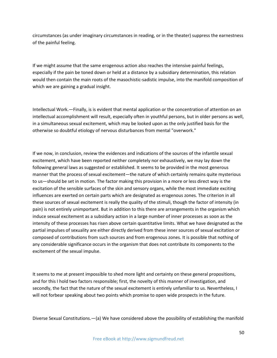circumstances (as under imaginary circumstances in reading, or in the theater) suppress the earnestness of the painful feeling.

If we might assume that the same erogenous action also reaches the intensive painful feelings, especially if the pain be toned down or held at a distance by a subsidiary determination, this relation would then contain the main roots of the masochistic-sadistic impulse, into the manifold composition of which we are gaining a gradual insight.

Intellectual Work.—Finally, is is evident that mental application or the concentration of attention on an intellectual accomplishment will result, especially often in youthful persons, but in older persons as well, in a simultaneous sexual excitement, which may be looked upon as the only justified basis for the otherwise so doubtful etiology of nervous disturbances from mental "overwork."

If we now, in conclusion, review the evidences and indications of the sources of the infantile sexual excitement, which have been reported neither completely nor exhaustively, we may lay down the following general laws as suggested or established. It seems to be provided in the most generous manner that the process of sexual excitement—the nature of which certainly remains quite mysterious to us—should be set in motion. The factor making this provision in a more or less direct way is the excitation of the sensible surfaces of the skin and sensory organs, while the most immediate exciting influences are exerted on certain parts which are designated as erogenous zones. The criterion in all these sources of sexual excitement is really the quality of the stimuli, though the factor of intensity (in pain) is not entirely unimportant. But in addition to this there are arrangements in the organism which induce sexual excitement as a subsidiary action in a large number of inner processes as soon as the intensity of these processes has risen above certain quantitative limits. What we have designated as the partial impulses of sexuality are either directly derived from these inner sources of sexual excitation or composed of contributions from such sources and from erogenous zones. It is possible that nothing of any considerable significance occurs in the organism that does not contribute its components to the excitement of the sexual impulse.

It seems to me at present impossible to shed more light and certainty on these general propositions, and for this I hold two factors responsible; first, the novelty of this manner of investigation, and secondly, the fact that the nature of the sexual excitement is entirely unfamiliar to us. Nevertheless, I will not forbear speaking about two points which promise to open wide prospects in the future.

Diverse Sexual Constitutions.—(a) We have considered above the possibility of establishing the manifold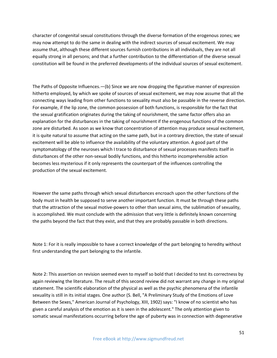character of congenital sexual constitutions through the diverse formation of the erogenous zones; we may now attempt to do the same in dealing with the indirect sources of sexual excitement. We may assume that, although these different sources furnish contributions in all individuals, they are not all equally strong in all persons; and that a further contribution to the differentiation of the diverse sexual constitution will be found in the preferred developments of the individual sources of sexual excitement.

The Paths of Opposite Influences.—(b) Since we are now dropping the figurative manner of expression hitherto employed, by which we spoke of sources of sexual excitement, we may now assume that all the connecting ways leading from other functions to sexuality must also be passable in the reverse direction. For example, if the lip zone, the common possession of both functions, is responsible for the fact that the sexual gratification originates during the taking of nourishment, the same factor offers also an explanation for the disturbances in the taking of nourishment if the erogenous functions of the common zone are disturbed. As soon as we know that concentration of attention may produce sexual excitement, it is quite natural to assume that acting on the same path, but in a contrary direction, the state of sexual excitement will be able to influence the availability of the voluntary attention. A good part of the symptomatology of the neuroses which I trace to disturbance of sexual processes manifests itself in disturbances of the other non-sexual bodily functions, and this hitherto incomprehensible action becomes less mysterious if it only represents the counterpart of the influences controlling the production of the sexual excitement.

However the same paths through which sexual disturbances encroach upon the other functions of the body must in health be supposed to serve another important function. It must be through these paths that the attraction of the sexual motive-powers to other than sexual aims, the sublimation of sexuality, is accomplished. We must conclude with the admission that very little is definitely known concerning the paths beyond the fact that they exist, and that they are probably passable in both directions.

Note 1: For it is really impossible to have a correct knowledge of the part belonging to heredity without first understanding the part belonging to the infantile.

Note 2: This assertion on revision seemed even to myself so bold that I decided to test its correctness by again reviewing the literature. The result of this second review did not warrant any change in my original statement. The scientific elaboration of the physical as well as the psychic phenomena of the infantile sexuality is still in its initial stages. One author (S. Bell, "A Preliminary Study of the Emotions of Love Between the Sexes," American Journal of Psychology, XIII, 1902) says: "I know of no scientist who has given a careful analysis of the emotion as it is seen in the adolescent." The only attention given to somatic sexual manifestations occurring before the age of puberty was in connection with degenerative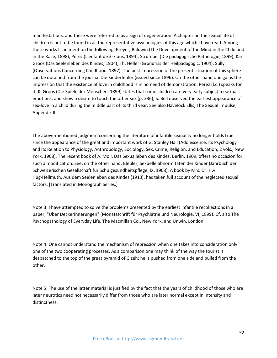manifestations, and these were referred to as a sign of degeneration. A chapter on the sexual life of children is not to be found in all the representative psychologies of this age which I have read. Among these works I can mention the following: Preyer; Baldwin (The Development of the Mind in the Child and in the Race, 1898); Pérez (L'enfant de 3-7 ans, 1894); Strümpel (Die pädagogische Pathologie, 1899); Karl Groos (Das Seelenleben des Kindes, 1904); Th. Heller (Grundriss der Heilpädagogic, 1904); Sully (Observations Concerning Childhood, 1897). The best impression of the present situation of this sphere can be obtained from the journal Die Kinderfehler (issued since 1896). On the other hand one gains the impression that the existence of love in childhood is in no need of demonstration. Pérez (l.c.) speaks for it; K. Groos (Die Spiele der Menschen, 1899) states that some children are very early subject to sexual emotions, and show a desire to touch the other sex (p. 336); S. Bell observed the earliest appearance of sex-love in a child during the middle part of its third year. See also Havelock Ellis, The Sexual Impulse, Appendix II.

The above-mentioned judgment concerning the literature of infantile sexuality no longer holds true since the appearance of the great and important work of G. Stanley Hall (Adolescence, Its Psychology and its Relation to Physiology, Anthropology, Sociology, Sex, Crime, Religion, and Education, 2 vols., New York, 1908). The recent book of A. Moll, Das Sexualleben des Kindes, Berlin, 1909, offers no occasion for such a modification. See, on the other hand, Bleuler, Sexuelle abnormitäten der Kinder (Jahrbuch der Schweizerischen Gesellschaft für Schulgesundheitspflege, IX, 1908). A book by Mrs. Dr. H.v. Hug-Hellmuth, Aus dem Seelenleben des Kindes (1913), has taken full account of the neglected sexual factors. [Translated in Monograph Series.]

Note 3: I have attempted to solve the problems presented by the earliest infantile recollections in a paper, "Über Deckerinnerungen" (Monatsschrift für Psychiatrie und Neurologie, VI, 1899). Cf. also The Psychopathology of Everyday Life, The Macmillan Co., New York, and Unwin, London.

Note 4: One cannot understand the mechanism of repression when one takes into consideration only one of the two cooperating processes. As a comparison one may think of the way the tourist is despatched to the top of the great pyramid of Gizeh; he is pushed from one side and pulled from the other.

Note 5: The use of the latter material is justified by the fact that the years of childhood of those who are later neurotics need not necessarily differ from those who are later normal except in intensity and distinctness.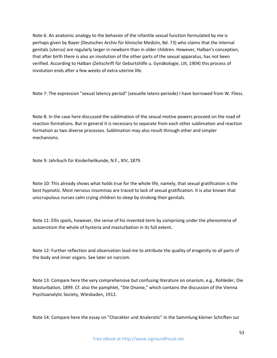Note 6: An anatomic analogy to the behavior of the infantile sexual function formulated by me is perhaps given by Bayer (Deutsches Archiv für klinische Medizin, Bd. 73) who claims that the internal genitals (uterus) are regularly larger in newborn than in older children. However, Halban's conception, that after birth there is also an involution of the other parts of the sexual apparatus, has not been verified. According to Halban (Zeitschrift für Geburtshilfe u. Gynäkologie, LIII, 1904) this process of involution ends after a few weeks of extra-uterine life.

Note 7: The expression "sexual latency period" (sexuelle latenz-periode) I have borrowed from W. Fliess.

Note 8: In the case here discussed the sublimation of the sexual motive powers proceed on the road of reaction formations. But in general it is necessary to separate from each other sublimation and reaction formation as two diverse processes. Sublimation may also result through other and simpler mechanisms.

Note 9: Jahrbuch für Kinderheilkunde, N.F., XIV, 1879.

Note 10: This already shows what holds true for the whole life, namely, that sexual gratification is the best hypnotic. Most nervous insomnias are traced to lack of sexual gratification. It is also known that unscrupulous nurses calm crying children to sleep by stroking their genitals.

Note 11: Ellis spoils, however, the sense of his invented term by comprising under the phenomena of autoerotism the whole of hysteria and masturbation in its full extent.

Note 12: Further reflection and observation lead me to attribute the quality of erogenity to all parts of the body and inner organs. See later on narcism.

Note 13: Compare here the very comprehensive but confusing literature on onanism, e.g., Rohleder, Die Masturbation, 1899. Cf. also the pamphlet, "Die Onanie," which contains the discussion of the Vienna Psychoanalytic Society, Wiesbaden, 1912.

Note 14: Compare here the essay on "Charakter und Analerotic" in the Sammlung kleiner Schriften zur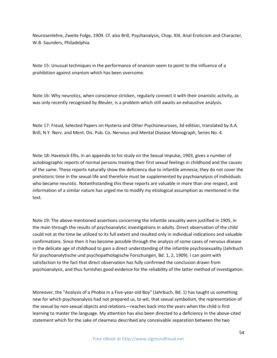Neurosenlehre, Zweite Folge, 1909. Cf. also Brill, Psychanalysis, Chap. XIII, Anal Eroticism and Character, W.B. Saunders, Philadelphia.

Note 15: Unusual techniques in the performance of onanism seem to point to the influence of a prohibition against onanism which has been overcome.

Note 16: Why neurotics, when conscience stricken, regularly connect it with their onanistic activity, as was only recently recognized by Bleuler, is a problem which still awaits an exhaustive analysis.

Note 17: Freud, Selected Papers on Hysteria and Other Psychoneuroses, 3d edition, translated by A.A. Brill, N.Y. Nerv. and Ment. Dis. Pub. Co. Nervous and Mental Disease Monograph, Series No. 4.

Note 18: Havelock Ellis, in an appendix to his study on the Sexual Impulse, 1903, gives a number of autobiographic reports of normal persons treating their first sexual feelings in childhood and the causes of the same. These reports naturally show the deficiency due to infantile amnesia; they do not cover the prehistoric time in the sexual life and therefore must be supplemented by psychoanalysis of individuals who became neurotic. Notwithstanding this these reports are valuable in more than one respect, and information of a similar nature has urged me to modify my etiological assumption as mentioned in the text.

Note 19: The above-mentioned assertions concerning the infantile sexuality were justified in 1905, in the main through the results of psychoanalytic investigations in adults. Direct observation of the child could not at the time be utilized to its full extent and resulted only in individual indications and valuable confirmations. Since then it has become possible through the analysis of some cases of nervous disease in the delicate age of childhood to gain a direct understanding of the infantile psychosexuality (Jahrbuch für psychoanalytische und psychopathologische Forschungen, Bd. 1, 2, 1909). I can point with satisfaction to the fact that direct observation has fully confirmed the conclusion drawn from psychoanalysis, and thus furnishes good evidence for the reliability of the latter method of investigation.

Moreover, the "Analysis of a Phobia in a Five-year-old Boy" (Jahrbuch, Bd. 1) has taught us something new for which psychoanalysis had not prepared us, to wit, that sexual symbolism, the representation of the sexual by non-sexual objects and relations—reaches back into the years when the child is first learning to master the language. My attention has also been directed to a deficiency in the above-cited statement which for the sake of clearness described any conceivable separation between the two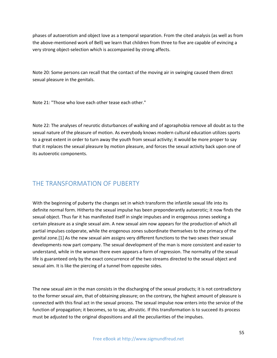phases of autoerotism and object love as a temporal separation. From the cited analysis (as well as from the above-mentioned work of Bell) we learn that children from three to five are capable of evincing a very strong object-selection which is accompanied by strong affects.

Note 20: Some persons can recall that the contact of the moving air in swinging caused them direct sexual pleasure in the genitals.

Note 21: "Those who love each other tease each other."

Note 22: The analyses of neurotic disturbances of walking and of agoraphobia remove all doubt as to the sexual nature of the pleasure of motion. As everybody knows modern cultural education utilizes sports to a great extent in order to turn away the youth from sexual activity; it would be more proper to say that it replaces the sexual pleasure by motion pleasure, and forces the sexual activity back upon one of its autoerotic components.

# THE TRANSFORMATION OF PUBERTY

With the beginning of puberty the changes set in which transform the infantile sexual life into its definite normal form. Hitherto the sexual impulse has been preponderantly autoerotic; it now finds the sexual object. Thus far it has manifested itself in single impulses and in erogenous zones seeking a certain pleasure as a single sexual aim. A new sexual aim now appears for the production of which all partial impulses coöperate, while the erogenous zones subordinate themselves to the primacy of the genital zone.[1] As the new sexual aim assigns very different functions to the two sexes their sexual developments now part company. The sexual development of the man is more consistent and easier to understand, while in the woman there even appears a form of regression. The normality of the sexual life is guaranteed only by the exact concurrence of the two streams directed to the sexual object and sexual aim. It is like the piercing of a tunnel from opposite sides.

The new sexual aim in the man consists in the discharging of the sexual products; it is not contradictory to the former sexual aim, that of obtaining pleasure; on the contrary, the highest amount of pleasure is connected with this final act in the sexual process. The sexual impulse now enters into the service of the function of propagation; it becomes, so to say, altruistic. If this transformation is to succeed its process must be adjusted to the original dispositions and all the peculiarities of the impulses.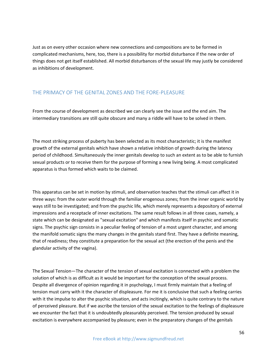Just as on every other occasion where new connections and compositions are to be formed in complicated mechanisms, here, too, there is a possibility for morbid disturbance if the new order of things does not get itself established. All morbid disturbances of the sexual life may justly be considered as inhibitions of development.

# THE PRIMACY OF THE GENITAL ZONES AND THE FORE-PLEASURE

From the course of development as described we can clearly see the issue and the end aim. The intermediary transitions are still quite obscure and many a riddle will have to be solved in them.

The most striking process of puberty has been selected as its most characteristic; it is the manifest growth of the external genitals which have shown a relative inhibition of growth during the latency period of childhood. Simultaneously the inner genitals develop to such an extent as to be able to furnish sexual products or to receive them for the purpose of forming a new living being. A most complicated apparatus is thus formed which waits to be claimed.

This apparatus can be set in motion by stimuli, and observation teaches that the stimuli can affect it in three ways: from the outer world through the familiar erogenous zones; from the inner organic world by ways still to be investigated; and from the psychic life, which merely represents a depository of external impressions and a receptacle of inner excitations. The same result follows in all three cases, namely, a state which can be designated as "sexual excitation" and which manifests itself in psychic and somatic signs. The psychic sign consists in a peculiar feeling of tension of a most urgent character, and among the manifold somatic signs the many changes in the genitals stand first. They have a definite meaning, that of readiness; they constitute a preparation for the sexual act (the erection of the penis and the glandular activity of the vagina).

The Sexual Tension—The character of the tension of sexual excitation is connected with a problem the solution of which is as difficult as it would be important for the conception of the sexual process. Despite all divergence of opinion regarding it in psychology, I must firmly maintain that a feeling of tension must carry with it the character of displeasure. For me it is conclusive that such a feeling carries with it the impulse to alter the psychic situation, and acts incitingly, which is quite contrary to the nature of perceived pleasure. But if we ascribe the tension of the sexual excitation to the feelings of displeasure we encounter the fact that it is undoubtedly pleasurably perceived. The tension produced by sexual excitation is everywhere accompanied by pleasure; even in the preparatory changes of the genitals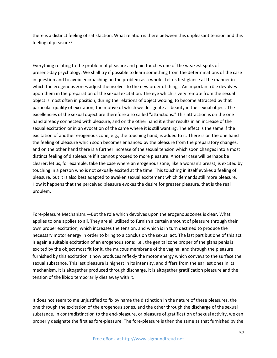there is a distinct feeling of satisfaction. What relation is there between this unpleasant tension and this feeling of pleasure?

Everything relating to the problem of pleasure and pain touches one of the weakest spots of present-day psychology. We shall try if possible to learn something from the determinations of the case in question and to avoid encroaching on the problem as a whole. Let us first glance at the manner in which the erogenous zones adjust themselves to the new order of things. An important rôle devolves upon them in the preparation of the sexual excitation. The eye which is very remote from the sexual object is most often in position, during the relations of object wooing, to become attracted by that particular quality of excitation, the motive of which we designate as beauty in the sexual object. The excellencies of the sexual object are therefore also called "attractions." This attraction is on the one hand already connected with pleasure, and on the other hand it either results in an increase of the sexual excitation or in an evocation of the same where it is still wanting. The effect is the same if the excitation of another erogenous zone, e.g., the touching hand, is added to it. There is on the one hand the feeling of pleasure which soon becomes enhanced by the pleasure from the preparatory changes, and on the other hand there is a further increase of the sexual tension which soon changes into a most distinct feeling of displeasure if it cannot proceed to more pleasure. Another case will perhaps be clearer; let us, for example, take the case where an erogenous zone, like a woman's breast, is excited by touching in a person who is not sexually excited at the time. This touching in itself evokes a feeling of pleasure, but it is also best adapted to awaken sexual excitement which demands still more pleasure. How it happens that the perceived pleasure evokes the desire for greater pleasure, that is the real problem.

Fore-pleasure Mechanism.—But the rôle which devolves upon the erogenous zones is clear. What applies to one applies to all. They are all utilized to furnish a certain amount of pleasure through their own proper excitation, which increases the tension, and which is in turn destined to produce the necessary motor energy in order to bring to a conclusion the sexual act. The last part but one of this act is again a suitable excitation of an erogenous zone; i.e., the genital zone proper of the glans penis is excited by the object most fit for it, the mucous membrane of the vagina, and through the pleasure furnished by this excitation it now produces reflexly the motor energy which conveys to the surface the sexual substance. This last pleasure is highest in its intensity, and differs from the earliest ones in its mechanism. It is altogether produced through discharge, it is altogether gratification pleasure and the tension of the libido temporarily dies away with it.

It does not seem to me unjustified to fix by name the distinction in the nature of these pleasures, the one through the excitation of the erogenous zones, and the other through the discharge of the sexual substance. In contradistinction to the end-pleasure, or pleasure of gratification of sexual activity, we can properly designate the first as fore-pleasure. The fore-pleasure is then the same as that furnished by the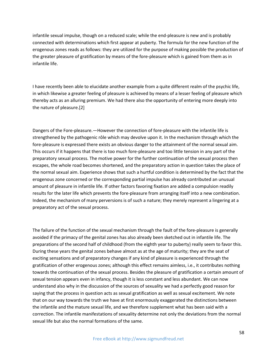infantile sexual impulse, though on a reduced scale; while the end-pleasure is new and is probably connected with determinations which first appear at puberty. The formula for the new function of the erogenous zones reads as follows: they are utilized for the purpose of making possible the production of the greater pleasure of gratification by means of the fore-pleasure which is gained from them as in infantile life.

I have recently been able to elucidate another example from a quite different realm of the psychic life, in which likewise a greater feeling of pleasure is achieved by means of a lesser feeling of pleasure which thereby acts as an alluring premium. We had there also the opportunity of entering more deeply into the nature of pleasure.[2]

Dangers of the Fore-pleasure.—However the connection of fore-pleasure with the infantile life is strengthened by the pathogenic rôle which may devolve upon it. In the mechanism through which the fore-pleasure is expressed there exists an obvious danger to the attainment of the normal sexual aim. This occurs if it happens that there is too much fore-pleasure and too little tension in any part of the preparatory sexual process. The motive power for the further continuation of the sexual process then escapes, the whole road becomes shortened, and the preparatory action in question takes the place of the normal sexual aim. Experience shows that such a hurtful condition is determined by the fact that the erogenous zone concerned or the corresponding partial impulse has already contributed an unusual amount of pleasure in infantile life. If other factors favoring fixation are added a compulsion readily results for the later life which prevents the fore-pleasure from arranging itself into a new combination. Indeed, the mechanism of many perversions is of such a nature; they merely represent a lingering at a preparatory act of the sexual process.

The failure of the function of the sexual mechanism through the fault of the fore-pleasure is generally avoided if the primacy of the genital zones has also already been sketched out in infantile life. The preparations of the second half of childhood (from the eighth year to puberty) really seem to favor this. During these years the genital zones behave almost as at the age of maturity; they are the seat of exciting sensations and of preparatory changes if any kind of pleasure is experienced through the gratification of other erogenous zones; although this effect remains aimless, i.e., it contributes nothing towards the continuation of the sexual process. Besides the pleasure of gratification a certain amount of sexual tension appears even in infancy, though it is less constant and less abundant. We can now understand also why in the discussion of the sources of sexuality we had a perfectly good reason for saying that the process in question acts as sexual gratification as well as sexual excitement. We note that on our way towards the truth we have at first enormously exaggerated the distinctions between the infantile and the mature sexual life, and we therefore supplement what has been said with a correction. The infantile manifestations of sexuality determine not only the deviations from the normal sexual life but also the normal formations of the same.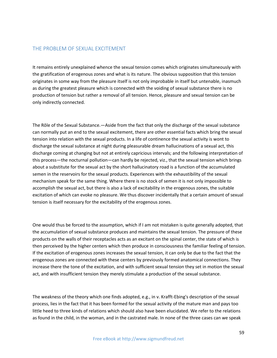## THE PROBLEM OF SEXUAL EXCITEMENT

It remains entirely unexplained whence the sexual tension comes which originates simultaneously with the gratification of erogenous zones and what is its nature. The obvious supposition that this tension originates in some way from the pleasure itself is not only improbable in itself but untenable, inasmuch as during the greatest pleasure which is connected with the voiding of sexual substance there is no production of tension but rather a removal of all tension. Hence, pleasure and sexual tension can be only indirectly connected.

The Rôle of the Sexual Substance.—Aside from the fact that only the discharge of the sexual substance can normally put an end to the sexual excitement, there are other essential facts which bring the sexual tension into relation with the sexual products. In a life of continence the sexual activity is wont to discharge the sexual substance at night during pleasurable dream hallucinations of a sexual act, this discharge coming at changing but not at entirely capricious intervals; and the following interpretation of this process—the nocturnal pollution—can hardly be rejected, viz., that the sexual tension which brings about a substitute for the sexual act by the short hallucinatory road is a function of the accumulated semen in the reservoirs for the sexual products. Experiences with the exhaustibility of the sexual mechanism speak for the same thing. Where there is no stock of semen it is not only impossible to accomplish the sexual act, but there is also a lack of excitability in the erogenous zones, the suitable excitation of which can evoke no pleasure. We thus discover incidentally that a certain amount of sexual tension is itself necessary for the excitability of the erogenous zones.

One would thus be forced to the assumption, which if I am not mistaken is quite generally adopted, that the accumulation of sexual substance produces and maintains the sexual tension. The pressure of these products on the walls of their receptacles acts as an excitant on the spinal center, the state of which is then perceived by the higher centers which then produce in consciousness the familiar feeling of tension. If the excitation of erogenous zones increases the sexual tension, it can only be due to the fact that the erogenous zones are connected with these centers by previously formed anatomical connections. They increase there the tone of the excitation, and with sufficient sexual tension they set in motion the sexual act, and with insufficient tension they merely stimulate a production of the sexual substance.

The weakness of the theory which one finds adopted, e.g., in v. Krafft-Ebing's description of the sexual process, lies in the fact that it has been formed for the sexual activity of the mature man and pays too little heed to three kinds of relations which should also have been elucidated. We refer to the relations as found in the child, in the woman, and in the castrated male. In none of the three cases can we speak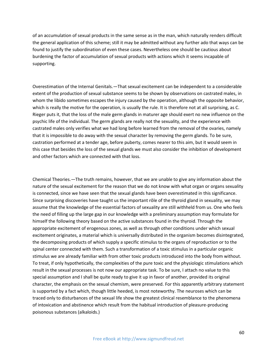of an accumulation of sexual products in the same sense as in the man, which naturally renders difficult the general application of this scheme; still it may be admitted without any further ado that ways can be found to justify the subordination of even these cases. Nevertheless one should be cautious about burdening the factor of accumulation of sexual products with actions which it seems incapable of supporting.

Overestimation of the Internal Genitals.—That sexual excitement can be independent to a considerable extent of the production of sexual substance seems to be shown by observations on castrated males, in whom the libido sometimes escapes the injury caused by the operation, although the opposite behavior, which is really the motive for the operation, is usually the rule. It is therefore not at all surprising, as C. Rieger puts it, that the loss of the male germ glands in maturer age should exert no new influence on the psychic life of the individual. The germ glands are really not the sexuality, and the experience with castrated males only verifies what we had long before learned from the removal of the ovaries, namely that it is impossible to do away with the sexual character by removing the germ glands. To be sure, castration performed at a tender age, before puberty, comes nearer to this aim, but it would seem in this case that besides the loss of the sexual glands we must also consider the inhibition of development and other factors which are connected with that loss.

Chemical Theories.—The truth remains, however, that we are unable to give any information about the nature of the sexual excitement for the reason that we do not know with what organ or organs sexuality is connected, since we have seen that the sexual glands have been overestimated in this significance. Since surprising discoveries have taught us the important rôle of the thyroid gland in sexuality, we may assume that the knowledge of the essential factors of sexuality are still withheld from us. One who feels the need of filling up the large gap in our knowledge with a preliminary assumption may formulate for himself the following theory based on the active substances found in the thyroid. Through the appropriate excitement of erogenous zones, as well as through other conditions under which sexual excitement originates, a material which is universally distributed in the organism becomes disintegrated, the decomposing products of which supply a specific stimulus to the organs of reproduction or to the spinal center connected with them. Such a transformation of a toxic stimulus in a particular organic stimulus we are already familiar with from other toxic products introduced into the body from without. To treat, if only hypothetically, the complexities of the pure toxic and the physiologic stimulations which result in the sexual processes is not now our appropriate task. To be sure, I attach no value to this special assumption and I shall be quite ready to give it up in favor of another, provided its original character, the emphasis on the sexual chemism, were preserved. For this apparently arbitrary statement is supported by a fact which, though little heeded, is most noteworthy. The neuroses which can be traced only to disturbances of the sexual life show the greatest clinical resemblance to the phenomena of intoxication and abstinence which result from the habitual introduction of pleasure-producing poisonous substances (alkaloids.)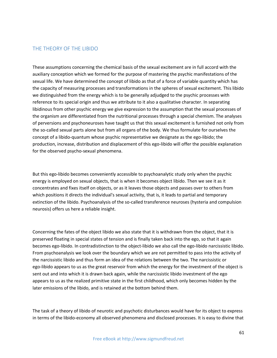## THE THEORY OF THE LIBIDO

These assumptions concerning the chemical basis of the sexual excitement are in full accord with the auxiliary conception which we formed for the purpose of mastering the psychic manifestations of the sexual life. We have determined the concept of libido as that of a force of variable quantity which has the capacity of measuring processes and transformations in the spheres of sexual excitement. This libido we distinguished from the energy which is to be generally adjudged to the psychic processes with reference to its special origin and thus we attribute to it also a qualitative character. In separating libidinous from other psychic energy we give expression to the assumption that the sexual processes of the organism are differentiated from the nutritional processes through a special chemism. The analyses of perversions and psychoneuroses have taught us that this sexual excitement is furnished not only from the so-called sexual parts alone but from all organs of the body. We thus formulate for ourselves the concept of a libido-quantum whose psychic representative we designate as the ego-libido; the production, increase, distribution and displacement of this ego-libido will offer the possible explanation for the observed psycho-sexual phenomena.

But this ego-libido becomes conveniently accessible to psychoanalytic study only when the psychic energy is employed on sexual objects, that is when it becomes object libido. Then we see it as it concentrates and fixes itself on objects, or as it leaves those objects and passes over to others from which positions it directs the individual's sexual activity, that is, it leads to partial and temporary extinction of the libido. Psychoanalysis of the so-called transference neuroses (hysteria and compulsion neurosis) offers us here a reliable insight.

Concerning the fates of the object libido we also state that it is withdrawn from the object, that it is preserved floating in special states of tension and is finally taken back into the ego, so that it again becomes ego-libido. In contradistinction to the object-libido we also call the ego-libido narcissistic libido. From psychoanalysis we look over the boundary which we are not permitted to pass into the activity of the narcissistic libido and thus form an idea of the relations between the two. The narcissistic or ego-libido appears to us as the great reservoir from which the energy for the investment of the object is sent out and into which it is drawn back again, while the narcissistic libido investment of the ego appears to us as the realized primitive state in the first childhood, which only becomes hidden by the later emissions of the libido, and is retained at the bottom behind them.

The task of a theory of libido of neurotic and psychotic disturbances would have for its object to express in terms of the libido-economy all observed phenomena and disclosed processes. It is easy to divine that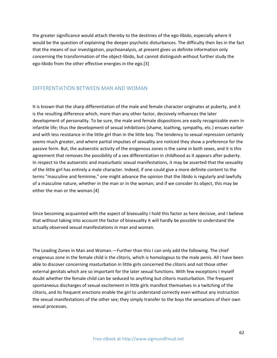the greater significance would attach thereby to the destinies of the ego-libido, especially where it would be the question of explaining the deeper psychotic disturbances. The difficulty then lies in the fact that the means of our investigation, psychoanalysis, at present gives us definite information only concerning the transformation of the object-libido, but cannot distinguish without further study the ego-libido from the other effective energies in the ego.[3]

## DIFFERENTIATION BETWEEN MAN AND WOMAN

It is known that the sharp differentiation of the male and female character originates at puberty, and it is the resulting difference which, more than any other factor, decisively influences the later development of personality. To be sure, the male and female dispositions are easily recognizable even in infantile life; thus the development of sexual inhibitions (shame, loathing, sympathy, etc.) ensues earlier and with less resistance in the little girl than in the little boy. The tendency to sexual repression certainly seems much greater, and where partial impulses of sexuality are noticed they show a preference for the passive form. But, the autoerotic activity of the erogenous zones is the same in both sexes, and it is this agreement that removes the possibility of a sex differentiation in childhood as it appears after puberty. In respect to the autoerotic and masturbatic sexual manifestations, it may be asserted that the sexuality of the little girl has entirely a male character. Indeed, if one could give a more definite content to the terms "masculine and feminine," one might advance the opinion that the libido is regularly and lawfully of a masculine nature, whether in the man or in the woman; and if we consider its object, this may be either the man or the woman.[4]

Since becoming acquainted with the aspect of bisexuality I hold this factor as here decisive, and I believe that without taking into account the factor of bisexuality it will hardly be possible to understand the actually observed sexual manifestations in man and woman.

The Leading Zones in Man and Woman.—Further than this I can only add the following. The chief erogenous zone in the female child is the clitoris, which is homologous to the male penis. All I have been able to discover concerning masturbation in little girls concerned the clitoris and not those other external genitals which are so important for the later sexual functions. With few exceptions I myself doubt whether the female child can be seduced to anything but clitoris masturbation. The frequent spontaneous discharges of sexual excitement in little girls manifest themselves in a twitching of the clitoris, and its frequent erections enable the girl to understand correctly even without any instruction the sexual manifestations of the other sex; they simply transfer to the boys the sensations of their own sexual processes.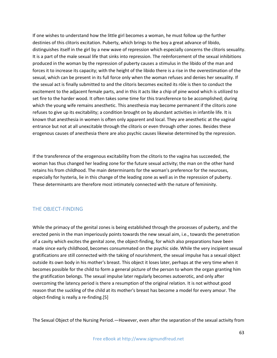If one wishes to understand how the little girl becomes a woman, he must follow up the further destinies of this clitoris excitation. Puberty, which brings to the boy a great advance of libido, distinguishes itself in the girl by a new wave of repression which especially concerns the clitoris sexuality. It is a part of the male sexual life that sinks into repression. The reënforcement of the sexual inhibitions produced in the woman by the repression of puberty causes a stimulus in the libido of the man and forces it to increase its capacity; with the height of the libido there is a rise in the overestimation of the sexual, which can be present in its full force only when the woman refuses and denies her sexuality. If the sexual act is finally submitted to and the clitoris becomes excited its rôle is then to conduct the excitement to the adjacent female parts, and in this it acts like a chip of pine wood which is utilized to set fire to the harder wood. It often takes some time for this transference to be accomplished; during which the young wife remains anesthetic. This anesthesia may become permanent if the clitoris zone refuses to give up its excitability; a condition brought on by abundant activities in infantile life. It is known that anesthesia in women is often only apparent and local. They are anesthetic at the vaginal entrance but not at all unexcitable through the clitoris or even through other zones. Besides these erogenous causes of anesthesia there are also psychic causes likewise determined by the repression.

If the transference of the erogenous excitability from the clitoris to the vagina has succeeded, the woman has thus changed her leading zone for the future sexual activity; the man on the other hand retains his from childhood. The main determinants for the woman's preference for the neuroses, especially for hysteria, lie in this change of the leading zone as well as in the repression of puberty. These determinants are therefore most intimately connected with the nature of femininity.

# THE OBJECT-FINDING

While the primacy of the genital zones is being established through the processes of puberty, and the erected penis in the man imperiously points towards the new sexual aim, i.e., towards the penetration of a cavity which excites the genital zone, the object-finding, for which also preparations have been made since early childhood, becomes consummated on the psychic side. While the very incipient sexual gratifications are still connected with the taking of nourishment, the sexual impulse has a sexual object outside its own body in his mother's breast. This object it loses later, perhaps at the very time when it becomes possible for the child to form a general picture of the person to whom the organ granting him the gratification belongs. The sexual impulse later regularly becomes autoerotic, and only after overcoming the latency period is there a resumption of the original relation. It is not without good reason that the suckling of the child at its mother's breast has become a model for every amour. The object-finding is really a re-finding.[5]

The Sexual Object of the Nursing Period.—However, even after the separation of the sexual activity from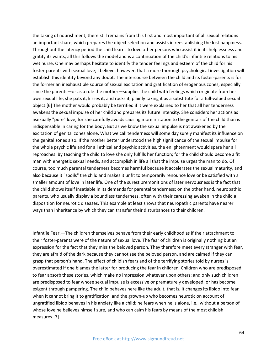the taking of nourishment, there still remains from this first and most important of all sexual relations an important share, which prepares the object selection and assists in reestablishing the lost happiness. Throughout the latency period the child learns to love other persons who assist it in its helplessness and gratify its wants; all this follows the model and is a continuation of the child's infantile relations to his wet nurse. One may perhaps hesitate to identify the tender feelings and esteem of the child for his foster-parents with sexual love; I believe, however, that a more thorough psychological investigation will establish this identity beyond any doubt. The intercourse between the child and its foster-parents is for the former an inexhaustible source of sexual excitation and gratification of erogenous zones, especially since the parents—or as a rule the mother—supplies the child with feelings which originate from her own sexual life; she pats it, kisses it, and rocks it, plainly taking it as a substitute for a full-valued sexual object.[6] The mother would probably be terrified if it were explained to her that all her tenderness awakens the sexual impulse of her child and prepares its future intensity. She considers her actions as asexually "pure" love, for she carefully avoids causing more irritation to the genitals of the child than is indispensable in caring for the body. But as we know the sexual impulse is not awakened by the excitation of genital zones alone. What we call tenderness will some day surely manifest its influence on the genital zones also. If the mother better understood the high significance of the sexual impulse for the whole psychic life and for all ethical and psychic activities, the enlightenment would spare her all reproaches. By teaching the child to love she only fulfills her function; for the child should become a fit man with energetic sexual needs, and accomplish in life all that the impulse urges the man to do. Of course, too much parental tenderness becomes harmful because it accelerates the sexual maturity, and also because it "spoils" the child and makes it unfit to temporarily renounce love or be satisfied with a smaller amount of love in later life. One of the surest premonitions of later nervousness is the fact that the child shows itself insatiable in its demands for parental tenderness; on the other hand, neuropathic parents, who usually display a boundless tenderness, often with their caressing awaken in the child a disposition for neurotic diseases. This example at least shows that neuropathic parents have nearer ways than inheritance by which they can transfer their disturbances to their children.

Infantile Fear.—The children themselves behave from their early childhood as if their attachment to their foster-parents were of the nature of sexual love. The fear of children is originally nothing but an expression for the fact that they miss the beloved person. They therefore meet every stranger with fear, they are afraid of the dark because they cannot see the beloved person, and are calmed if they can grasp that person's hand. The effect of childish fears and of the terrifying stories told by nurses is overestimated if one blames the latter for producing the fear in children. Children who are predisposed to fear absorb these stories, which make no impression whatever upon others; and only such children are predisposed to fear whose sexual impulse is excessive or prematurely developed, or has become exigent through pampering. The child behaves here like the adult, that is, it changes its libido into fear when it cannot bring it to gratification, and the grown-up who becomes neurotic on account of ungratified libido behaves in his anxiety like a child; he fears when he is alone, i.e., without a person of whose love he believes himself sure, and who can calm his fears by means of the most childish measures.[7]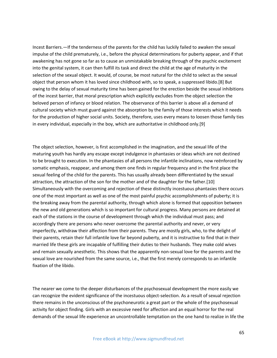Incest Barriers.—If the tenderness of the parents for the child has luckily failed to awaken the sexual impulse of the child prematurely, i.e., before the physical determinations for puberty appear, and if that awakening has not gone so far as to cause an unmistakable breaking through of the psychic excitement into the genital system, it can then fulfill its task and direct the child at the age of maturity in the selection of the sexual object. It would, of course, be most natural for the child to select as the sexual object that person whom it has loved since childhood with, so to speak, a suppressed libido.[8] But owing to the delay of sexual maturity time has been gained for the erection beside the sexual inhibitions of the incest barrier, that moral prescription which explicitly excludes from the object selection the beloved person of infancy or blood relation. The observance of this barrier is above all a demand of cultural society which must guard against the absorption by the family of those interests which it needs for the production of higher social units. Society, therefore, uses every means to loosen those family ties in every individual, especially in the boy, which are authoritative in childhood only.[9]

The object selection, however, is first accomplished in the imagination, and the sexual life of the maturing youth has hardly any escape except indulgence in phantasies or ideas which are not destined to be brought to execution. In the phantasies of all persons the infantile inclinations, now reënforced by somatic emphasis, reappear, and among them one finds in regular frequency and in the first place the sexual feeling of the child for the parents. This has usually already been differentiated by the sexual attraction, the attraction of the son for the mother and of the daughter for the father.[10] Simultaneously with the overcoming and rejection of these distinctly incestuous phantasies there occurs one of the most important as well as one of the most painful psychic accomplishments of puberty; it is the breaking away from the parental authority, through which alone is formed that opposition between the new and old generations which is so important for cultural progress. Many persons are detained at each of the stations in the course of development through which the individual must pass; and accordingly there are persons who never overcome the parental authority and never, or very imperfectly, withdraw their affection from their parents. They are mostly girls, who, to the delight of their parents, retain their full infantile love far beyond puberty, and it is instructive to find that in their married life these girls are incapable of fulfilling their duties to their husbands. They make cold wives and remain sexually anesthetic. This shows that the apparently non-sexual love for the parents and the sexual love are nourished from the same source, i.e., that the first merely corresponds to an infantile fixation of the libido.

The nearer we come to the deeper disturbances of the psychosexual development the more easily we can recognize the evident significance of the incestuous object-selection. As a result of sexual rejection there remains in the unconscious of the psychoneurotic a great part or the whole of the psychosexual activity for object finding. Girls with an excessive need for affection and an equal horror for the real demands of the sexual life experience an uncontrollable temptation on the one hand to realize in life the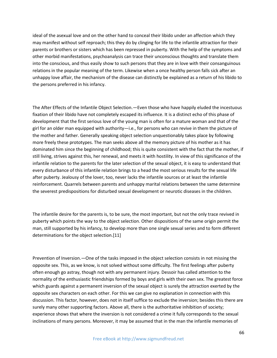ideal of the asexual love and on the other hand to conceal their libido under an affection which they may manifest without self reproach; this they do by clinging for life to the infantile attraction for their parents or brothers or sisters which has been repressed in puberty. With the help of the symptoms and other morbid manifestations, psychoanalysis can trace their unconscious thoughts and translate them into the conscious, and thus easily show to such persons that they are in love with their consanguinous relations in the popular meaning of the term. Likewise when a once healthy person falls sick after an unhappy love affair, the mechanism of the disease can distinctly be explained as a return of his libido to the persons preferred in his infancy.

The After Effects of the Infantile Object Selection.—Even those who have happily eluded the incestuous fixation of their libido have not completely escaped its influence. It is a distinct echo of this phase of development that the first serious love of the young man is often for a mature woman and that of the girl for an older man equipped with authority—i.e., for persons who can revive in them the picture of the mother and father. Generally speaking object selection unquestionably takes place by following more freely these prototypes. The man seeks above all the memory picture of his mother as it has dominated him since the beginning of childhood; this is quite consistent with the fact that the mother, if still living, strives against this, her renewal, and meets it with hostility. In view of this significance of the infantile relation to the parents for the later selection of the sexual object, it is easy to understand that every disturbance of this infantile relation brings to a head the most serious results for the sexual life after puberty. Jealousy of the lover, too, never lacks the infantile sources or at least the infantile reinforcement. Quarrels between parents and unhappy marital relations between the same determine the severest predispositions for disturbed sexual development or neurotic diseases in the children.

The infantile desire for the parents is, to be sure, the most important, but not the only trace revived in puberty which points the way to the object selection. Other dispositions of the same origin permit the man, still supported by his infancy, to develop more than one single sexual series and to form different determinations for the object selection.[11]

Prevention of Inversion.—One of the tasks imposed in the object selection consists in not missing the opposite sex. This, as we know, is not solved without some difficulty. The first feelings after puberty often enough go astray, though not with any permanent injury. Dessoir has called attention to the normality of the enthusiastic friendships formed by boys and girls with their own sex. The greatest force which guards against a permanent inversion of the sexual object is surely the attraction exerted by the opposite sex characters on each other. For this we can give no explanation in connection with this discussion. This factor, however, does not in itself suffice to exclude the inversion; besides this there are surely many other supporting factors. Above all, there is the authoritative inhibition of society; experience shows that where the inversion is not considered a crime it fully corresponds to the sexual inclinations of many persons. Moreover, it may be assumed that in the man the infantile memories of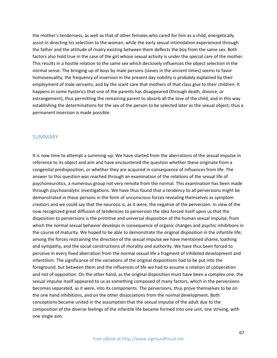the mother's tenderness, as well as that of other females who cared for him as a child, energetically assist in directing his selection to the woman, while the early sexual intimidation experienced through the father and the attitude of rivalry existing between them deflects the boy from the same sex. Both factors also hold true in the case of the girl whose sexual activity is under the special care of the mother. This results in a hostile relation to the same sex which decisively influences the object selection in the normal sense. The bringing up of boys by male persons (slaves in the ancient times) seems to favor homosexuality; the frequency of inversion in the present day nobility is probably explained by their employment of male servants, and by the scant care that mothers of that class give to their children. It happens in some hysterics that one of the parents has disappeared (through death, divorce, or estrangement), thus permitting the remaining parent to absorb all the love of the child, and in this way establishing the determinations for the sex of the person to be selected later as the sexual object; thus a permanent inversion is made possible.

#### SUMMARY

It is now time to attempt a summing-up. We have started from the aberrations of the sexual impulse in reference to its object and aim and have encountered the question whether these originate from a congenital predisposition, or whether they are acquired in consequence of influences from life. The answer to this question was reached through an examination of the relations of the sexual life of psychoneurotics, a numerous group not very remote from the normal. This examination has been made through psychoanalytic investigations. We have thus found that a tendency to all perversions might be demonstrated in these persons in the form of unconscious forces revealing themselves as symptom creators and we could say that the neurosis is, as it were, the negative of the perversion. In view of the now recognized great diffusion of tendencies to perversion the idea forced itself upon us that the disposition to perversions is the primitive and universal disposition of the human sexual impulse, from which the normal sexual behavior develops in consequence of organic changes and psychic inhibitions in the course of maturity. We hoped to be able to demonstrate the original disposition in the infantile life; among the forces restraining the direction of the sexual impulse we have mentioned shame, loathing and sympathy, and the social constructions of morality and authority. We have thus been forced to perceive in every fixed aberration from the normal sexual life a fragment of inhibited development and infantilism. The significance of the variations of the original dispositions had to be put into the foreground, but between them and the influences of life we had to assume a relation of coöperation and not of opposition. On the other hand, as the original disposition must have been a complex one, the sexual impulse itself appeared to us as something composed of many factors, which in the perversions becomes separated, as it were, into its components. The perversions, thus prove themselves to be on the one hand inhibitions, and on the other dissociations from the normal development. Both conceptions became united in the assumption that the sexual impulse of the adult due to the composition of the diverse feelings of the infantile life became formed into one unit, one striving, with one single aim.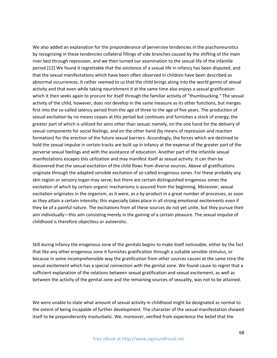We also added an explanation for the preponderance of perversive tendencies in the psychoneurotics by recognizing in these tendencies collateral fillings of side branches caused by the shifting of the main river bed through repression, and we then turned our examination to the sexual life of the infantile period.[12] We found it regrettable that the existence of a sexual life in infancy has been disputed, and that the sexual manifestations which have been often observed in children have been described as abnormal occurrences. It rather seemed to us that the child brings along into the world germs of sexual activity and that even while taking nourishment it at the same time also enjoys a sexual gratification which it then seeks again to procure for itself through the familiar activity of "thumbsucking." The sexual activity of the child, however, does not develop in the same measure as its other functions, but merges first into the so-called latency period from the age of three to the age of five years. The production of sexual excitation by no means ceases at this period but continues and furnishes a stock of energy, the greater part of which is utilized for aims other than sexual; namely, on the one hand for the delivery of sexual components for social feelings, and on the other hand (by means of repression and reaction formation) for the erection of the future sexual barriers. Accordingly, the forces which are destined to hold the sexual impulse in certain tracks are built up in infancy at the expense of the greater part of the perverse sexual feelings and with the assistance of education. Another part of the infantile sexual manifestations escapes this utilization and may manifest itself as sexual activity. It can then be discovered that the sexual excitation of the child flows from diverse sources. Above all gratifications originate through the adapted sensible excitation of so-called erogenous zones. For these probably any skin region or sensory organ may serve; but there are certain distinguished erogenous zones the excitation of which by certain organic mechanisms is assured from the beginning. Moreover, sexual excitation originates in the organism, as it were, as a by-product in a great number of processes, as soon as they attain a certain intensity; this especially takes place in all strong emotional excitements even if they be of a painful nature. The excitations from all these sources do not yet unite, but they pursue their aim individually—this aim consisting merely in the gaining of a certain pleasure. The sexual impulse of childhood is therefore objectless or autoerotic.

Still during infancy the erogenous zone of the genitals begins to make itself noticeable, either by the fact that like any other erogenous zone it furnishes gratification through a suitable sensible stimulus, or because in some incomprehensible way the gratification from other sources causes at the same time the sexual excitement which has a special connection with the genital zone. We found cause to regret that a sufficient explanation of the relations between sexual gratification and sexual excitement, as well as between the activity of the genital zone and the remaining sources of sexuality, was not to be attained.

We were unable to state what amount of sexual activity in childhood might be designated as normal to the extent of being incapable of further development. The character of the sexual manifestation showed itself to be preponderantly masturbatic. We, moreover, verified from experience the belief that the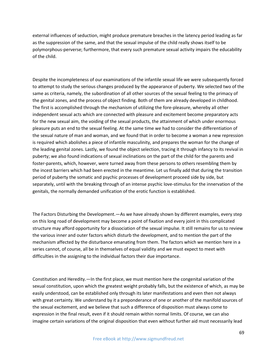external influences of seduction, might produce premature breaches in the latency period leading as far as the suppression of the same, and that the sexual impulse of the child really shows itself to be polymorphous-perverse; furthermore, that every such premature sexual activity impairs the educability of the child.

Despite the incompleteness of our examinations of the infantile sexual life we were subsequently forced to attempt to study the serious changes produced by the appearance of puberty. We selected two of the same as criteria, namely, the subordination of all other sources of the sexual feeling to the primacy of the genital zones, and the process of object finding. Both of them are already developed in childhood. The first is accomplished through the mechanism of utilizing the fore-pleasure, whereby all other independent sexual acts which are connected with pleasure and excitement become preparatory acts for the new sexual aim, the voiding of the sexual products, the attainment of which under enormous pleasure puts an end to the sexual feeling. At the same time we had to consider the differentiation of the sexual nature of man and woman, and we found that in order to become a woman a new repression is required which abolishes a piece of infantile masculinity, and prepares the woman for the change of the leading genital zones. Lastly, we found the object selection, tracing it through infancy to its revival in puberty; we also found indications of sexual inclinations on the part of the child for the parents and foster-parents, which, however, were turned away from these persons to others resembling them by the incest barriers which had been erected in the meantime. Let us finally add that during the transition period of puberty the somatic and psychic processes of development proceed side by side, but separately, until with the breaking through of an intense psychic love-stimulus for the innervation of the genitals, the normally demanded unification of the erotic function is established.

The Factors Disturbing the Development.—As we have already shown by different examples, every step on this long road of development may become a point of fixation and every joint in this complicated structure may afford opportunity for a dissociation of the sexual impulse. It still remains for us to review the various inner and outer factors which disturb the development, and to mention the part of the mechanism affected by the disturbance emanating from them. The factors which we mention here in a series cannot, of course, all be in themselves of equal validity and we must expect to meet with difficulties in the assigning to the individual factors their due importance.

Constitution and Heredity.—In the first place, we must mention here the congenital variation of the sexual constitution, upon which the greatest weight probably falls, but the existence of which, as may be easily understood, can be established only through its later manifestations and even then not always with great certainty. We understand by it a preponderance of one or another of the manifold sources of the sexual excitement, and we believe that such a difference of disposition must always come to expression in the final result, even if it should remain within normal limits. Of course, we can also imagine certain variations of the original disposition that even without further aid must necessarily lead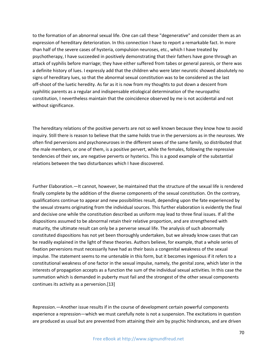to the formation of an abnormal sexual life. One can call these "degenerative" and consider them as an expression of hereditary deterioration. In this connection I have to report a remarkable fact. In more than half of the severe cases of hysteria, compulsion neuroses, etc., which I have treated by psychotherapy, I have succeeded in positively demonstrating that their fathers have gone through an attack of syphilis before marriage; they have either suffered from tabes or general paresis, or there was a definite history of lues. I expressly add that the children who were later neurotic showed absolutely no signs of hereditary lues, so that the abnormal sexual constitution was to be considered as the last off-shoot of the luetic heredity. As far as it is now from my thoughts to put down a descent from syphilitic parents as a regular and indispensable etiological determination of the neuropathic constitution, I nevertheless maintain that the coincidence observed by me is not accidental and not without significance.

The hereditary relations of the positive perverts are not so well known because they know how to avoid inquiry. Still there is reason to believe that the same holds true in the perversions as in the neuroses. We often find perversions and psychoneuroses in the different sexes of the same family, so distributed that the male members, or one of them, is a positive pervert, while the females, following the repressive tendencies of their sex, are negative perverts or hysterics. This is a good example of the substantial relations between the two disturbances which I have discovered.

Further Elaboration.—It cannot, however, be maintained that the structure of the sexual life is rendered finally complete by the addition of the diverse components of the sexual constitution. On the contrary, qualifications continue to appear and new possibilities result, depending upon the fate experienced by the sexual streams originating from the individual sources. This further elaboration is evidently the final and decisive one while the constitution described as uniform may lead to three final issues. If all the dispositions assumed to be abnormal retain their relative proportion, and are strengthened with maturity, the ultimate result can only be a perverse sexual life. The analysis of such abnormally constituted dispositions has not yet been thoroughly undertaken, but we already know cases that can be readily explained in the light of these theories. Authors believe, for example, that a whole series of fixation perversions must necessarily have had as their basis a congenital weakness of the sexual impulse. The statement seems to me untenable in this form, but it becomes ingenious if it refers to a constitutional weakness of one factor in the sexual impulse, namely, the genital zone, which later in the interests of propagation accepts as a function the sum of the individual sexual activities. In this case the summation which is demanded in puberty must fail and the strongest of the other sexual components continues its activity as a perversion.[13]

Repression.—Another issue results if in the course of development certain powerful components experience a repression—which we must carefully note is not a suspension. The excitations in question are produced as usual but are prevented from attaining their aim by psychic hindrances, and are driven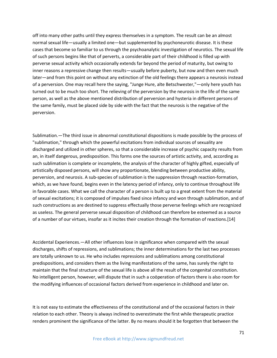off into many other paths until they express themselves in a symptom. The result can be an almost normal sexual life—usually a limited one—but supplemented by psychoneurotic disease. It is these cases that become so familiar to us through the psychoanalytic investigation of neurotics. The sexual life of such persons begins like that of perverts, a considerable part of their childhood is filled up with perverse sexual activity which occasionally extends far beyond the period of maturity, but owing to inner reasons a repressive change then results—usually before puberty, but now and then even much later—and from this point on without any extinction of the old feelings there appears a neurosis instead of a perversion. One may recall here the saying, "Junge Hure, alte Betschwester,"—only here youth has turned out to be much too short. The relieving of the perversion by the neurosis in the life of the same person, as well as the above mentioned distribution of perversion and hysteria in different persons of the same family, must be placed side by side with the fact that the neurosis is the negative of the perversion.

Sublimation.—The third issue in abnormal constitutional dispositions is made possible by the process of "sublimation," through which the powerful excitations from individual sources of sexuality are discharged and utilized in other spheres, so that a considerable increase of psychic capacity results from an, in itself dangerous, predisposition. This forms one the sources of artistic activity, and, according as such sublimation is complete or incomplete, the analysis of the character of highly gifted, especially of artistically disposed persons, will show any proportionate, blending between productive ability, perversion, and neurosis. A sub-species of sublimation is the suppression through reaction-formation, which, as we have found, begins even in the latency period of infancy, only to continue throughout life in favorable cases. What we call the character of a person is built up to a great extent from the material of sexual excitations; it is composed of impulses fixed since infancy and won through sublimation, and of such constructions as are destined to suppress effectually those perverse feelings which are recognized as useless. The general perverse sexual disposition of childhood can therefore be esteemed as a source of a number of our virtues, insofar as it incites their creation through the formation of reactions.[14]

Accidental Experiences.—All other influences lose in significance when compared with the sexual discharges, shifts of repressions, and sublimations; the inner determinations for the last two processes are totally unknown to us. He who includes repressions and sublimations among constitutional predispositions, and considers them as the living manifestations of the same, has surely the right to maintain that the final structure of the sexual life is above all the result of the congenital constitution. No intelligent person, however, will dispute that in such a coöperation of factors there is also room for the modifying influences of occasional factors derived from experience in childhood and later on.

It is not easy to estimate the effectiveness of the constitutional and of the occasional factors in their relation to each other. Theory is always inclined to overestimate the first while therapeutic practice renders prominent the significance of the latter. By no means should it be forgotten that between the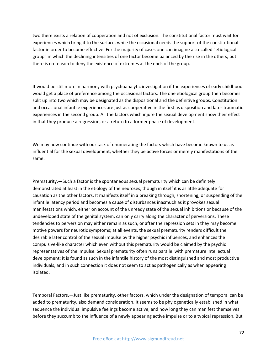two there exists a relation of coöperation and not of exclusion. The constitutional factor must wait for experiences which bring it to the surface, while the occasional needs the support of the constitutional factor in order to become effective. For the majority of cases one can imagine a so-called "etiological group" in which the declining intensities of one factor become balanced by the rise in the others, but there is no reason to deny the existence of extremes at the ends of the group.

It would be still more in harmony with psychoanalytic investigation if the experiences of early childhood would get a place of preference among the occasional factors. The one etiological group then becomes split up into two which may be designated as the dispositional and the definitive groups. Constitution and occasional infantile experiences are just as coöperative in the first as disposition and later traumatic experiences in the second group. All the factors which injure the sexual development show their effect in that they produce a regression, or a return to a former phase of development.

We may now continue with our task of enumerating the factors which have become known to us as influential for the sexual development, whether they be active forces or merely manifestations of the same.

Prematurity.—Such a factor is the spontaneous sexual prematurity which can be definitely demonstrated at least in the etiology of the neuroses, though in itself it is as little adequate for causation as the other factors. It manifests itself in a breaking through, shortening, or suspending of the infantile latency period and becomes a cause of disturbances inasmuch as it provokes sexual manifestations which, either on account of the unready state of the sexual inhibitions or because of the undeveloped state of the genital system, can only carry along the character of perversions. These tendencies to perversion may either remain as such, or after the repression sets in they may become motive powers for neurotic symptoms; at all events, the sexual prematurity renders difficult the desirable later control of the sexual impulse by the higher psychic influences, and enhances the compulsive-like character which even without this prematurity would be claimed by the psychic representatives of the impulse. Sexual prematurity often runs parallel with premature intellectual development; it is found as such in the infantile history of the most distinguished and most productive individuals, and in such connection it does not seem to act as pathogenically as when appearing isolated.

Temporal Factors.—Just like prematurity, other factors, which under the designation of temporal can be added to prematurity, also demand consideration. It seems to be phylogenetically established in what sequence the individual impulsive feelings become active, and how long they can manifest themselves before they succumb to the influence of a newly appearing active impulse or to a typical repression. But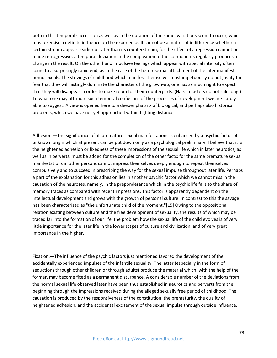both in this temporal succession as well as in the duration of the same, variations seem to occur, which must exercise a definite influence on the experience. It cannot be a matter of indifference whether a certain stream appears earlier or later than its counterstream, for the effect of a repression cannot be made retrogressive; a temporal deviation in the composition of the components regularly produces a change in the result. On the other hand impulsive feelings which appear with special intensity often come to a surprisingly rapid end, as in the case of the heterosexual attachment of the later manifest homosexuals. The strivings of childhood which manifest themselves most impetuously do not justify the fear that they will lastingly dominate the character of the grown-up; one has as much right to expect that they will disappear in order to make room for their counterparts. (Harsh masters do not rule long.) To what one may attribute such temporal confusions of the processes of development we are hardly able to suggest. A view is opened here to a deeper phalanx of biological, and perhaps also historical problems, which we have not yet approached within fighting distance.

Adhesion.—The significance of all premature sexual manifestations is enhanced by a psychic factor of unknown origin which at present can be put down only as a psychological preliminary. I believe that it is the heightened adhesion or fixedness of these impressions of the sexual life which in later neurotics, as well as in perverts, must be added for the completion of the other facts; for the same premature sexual manifestations in other persons cannot impress themselves deeply enough to repeat themselves compulsively and to succeed in prescribing the way for the sexual impulse throughout later life. Perhaps a part of the explanation for this adhesion lies in another psychic factor which we cannot miss in the causation of the neuroses, namely, in the preponderance which in the psychic life falls to the share of memory traces as compared with recent impressions. This factor is apparently dependent on the intellectual development and grows with the growth of personal culture. In contrast to this the savage has been characterized as "the unfortunate child of the moment."[15] Owing to the oppositional relation existing between culture and the free development of sexuality, the results of which may be traced far into the formation of our life, the problem how the sexual life of the child evolves is of very little importance for the later life in the lower stages of culture and civilization, and of very great importance in the higher.

Fixation.—The influence of the psychic factors just mentioned favored the development of the accidentally experienced impulses of the infantile sexuality. The latter (especially in the form of seductions through other children or through adults) produce the material which, with the help of the former, may become fixed as a permanent disturbance. A considerable number of the deviations from the normal sexual life observed later have been thus established in neurotics and perverts from the beginning through the impressions received during the alleged sexually free period of childhood. The causation is produced by the responsiveness of the constitution, the prematurity, the quality of heightened adhesion, and the accidental excitement of the sexual impulse through outside influence.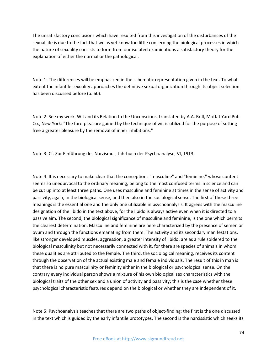The unsatisfactory conclusions which have resulted from this investigation of the disturbances of the sexual life is due to the fact that we as yet know too little concerning the biological processes in which the nature of sexuality consists to form from our isolated examinations a satisfactory theory for the explanation of either the normal or the pathological.

Note 1: The differences will be emphasized in the schematic representation given in the text. To what extent the infantile sexuality approaches the definitive sexual organization through its object selection has been discussed before (p. 60).

Note 2: See my work, Wit and its Relation to the Unconscious, translated by A.A. Brill, Moffat Yard Pub. Co., New York: "The fore-pleasure gained by the technique of wit is utilized for the purpose of setting free a greater pleasure by the removal of inner inhibitions."

Note 3: Cf. Zur Einführung des Narzismus, Jahrbuch der Psychoanalyse, VI, 1913.

Note 4: It is necessary to make clear that the conceptions "masculine" and "feminine," whose content seems so unequivocal to the ordinary meaning, belong to the most confused terms in science and can be cut up into at least three paths. One uses masculine and feminine at times in the sense of activity and passivity, again, in the biological sense, and then also in the sociological sense. The first of these three meanings is the essential one and the only one utilizable in psychoanalysis. It agrees with the masculine designation of the libido in the text above, for the libido is always active even when it is directed to a passive aim. The second, the biological significance of masculine and feminine, is the one which permits the clearest determination. Masculine and feminine are here characterized by the presence of semen or ovum and through the functions emanating from them. The activity and its secondary manifestations, like stronger developed muscles, aggression, a greater intensity of libido, are as a rule soldered to the biological masculinity but not necessarily connected with it, for there are species of animals in whom these qualities are attributed to the female. The third, the sociological meaning, receives its content through the observation of the actual existing male and female individuals. The result of this in man is that there is no pure masculinity or feminity either in the biological or psychological sense. On the contrary every individual person shows a mixture of his own biological sex characteristics with the biological traits of the other sex and a union of activity and passivity; this is the case whether these psychological characteristic features depend on the biological or whether they are independent of it.

Note 5: Psychoanalysis teaches that there are two paths of object-finding; the first is the one discussed in the text which is guided by the early infantile prototypes. The second is the narcissistic which seeks its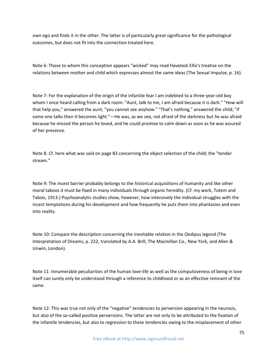own ego and finds it in the other. The latter is of particularly great significance for the pathological outcomes, but does not fit into the connection treated here.

Note 6: Those to whom this conception appears "wicked" may read Havelock Ellis's treatise on the relations between mother and child which expresses almost the same ideas (The Sexual Impulse, p. 16).

Note 7: For the explanation of the origin of the infantile fear I am indebted to a three-year-old boy whom I once heard calling from a dark room: "Aunt, talk to me, I am afraid because it is dark." "How will that help you," answered the aunt; "you cannot see anyhow." "That's nothing," answered the child; "if some one talks then it becomes light."—He was, as we see, not afraid of the darkness but he was afraid because he missed the person he loved, and he could promise to calm down as soon as he was assured of her presence.

Note 8: Cf. here what was said on page 83 concerning the object selection of the child; the "tender stream."

Note 9: The incest barrier probably belongs to the historical acquisitions of humanity and like other moral taboos it must be fixed in many individuals through organic heredity. (Cf. my work, Totem and Taboo, 1913.) Psychoanalytic studies show, however, how intensively the individual struggles with the incest temptations during his development and how frequently he puts them into phantasies and even into reality.

Note 10: Compare the description concerning the inevitable relation in the Oedipus legend (The Interpretation of Dreams, p. 222, translated by A.A. Brill, The Macmillan Co., New York, and Allen & Unwin, London).

Note 11: Innumerable peculiarities of the human love-life as well as the compulsiveness of being in love itself can surely only be understood through a reference to childhood or as an effective remnant of the same.

Note 12: This was true not only of the "negative" tendencies to perversion appearing in the neurosis, but also of the so-called positive perversions. The latter are not only to be attributed to the fixation of the infantile tendencies, but also to regression to these tendencies owing to the misplacement of other